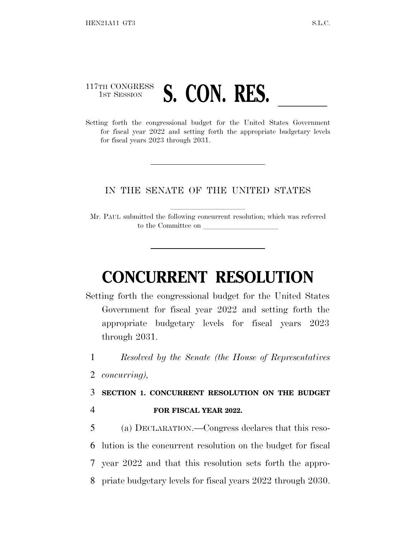# 117TH CONGRESS 117TH CONGRESS **S. CON. RES.**<br>Setting forth the congressional budget for the United States Government

for fiscal year 2022 and setting forth the appropriate budgetary levels for fiscal years 2023 through 2031.

### IN THE SENATE OF THE UNITED STATES

Mr. PAUL submitted the following concurrent resolution; which was referred to the Committee on

## **CONCURRENT RESOLUTION**

Setting forth the congressional budget for the United States Government for fiscal year 2022 and setting forth the appropriate budgetary levels for fiscal years 2023 through 2031.

1 *Resolved by the Senate (the House of Representatives*

2 *concurring),*

3 **SECTION 1. CONCURRENT RESOLUTION ON THE BUDGET** 4 **FOR FISCAL YEAR 2022.**

 (a) DECLARATION.—Congress declares that this reso- lution is the concurrent resolution on the budget for fiscal year 2022 and that this resolution sets forth the appro-priate budgetary levels for fiscal years 2022 through 2030.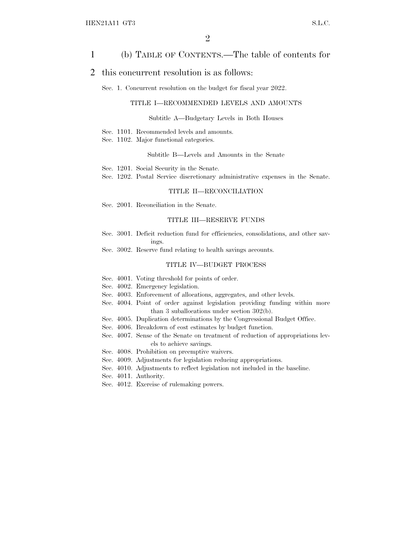### 1 (b) TABLE OF CONTENTS.—The table of contents for

### 2 this concurrent resolution is as follows:

Sec. 1. Concurrent resolution on the budget for fiscal year 2022.

### TITLE I—RECOMMENDED LEVELS AND AMOUNTS

#### Subtitle A—Budgetary Levels in Both Houses

- Sec. 1101. Recommended levels and amounts.
- Sec. 1102. Major functional categories.

#### Subtitle B—Levels and Amounts in the Senate

- Sec. 1201. Social Security in the Senate.
- Sec. 1202. Postal Service discretionary administrative expenses in the Senate.

### TITLE II—RECONCILIATION

Sec. 2001. Reconciliation in the Senate.

### TITLE III—RESERVE FUNDS

- Sec. 3001. Deficit reduction fund for efficiencies, consolidations, and other savings.
- Sec. 3002. Reserve fund relating to health savings accounts.

### TITLE IV—BUDGET PROCESS

- Sec. 4001. Voting threshold for points of order.
- Sec. 4002. Emergency legislation.
- Sec. 4003. Enforcement of allocations, aggregates, and other levels.
- Sec. 4004. Point of order against legislation providing funding within more than 3 suballocations under section 302(b).
- Sec. 4005. Duplication determinations by the Congressional Budget Office.
- Sec. 4006. Breakdown of cost estimates by budget function.
- Sec. 4007. Sense of the Senate on treatment of reduction of appropriations levels to achieve savings.
- Sec. 4008. Prohibition on preemptive waivers.
- Sec. 4009. Adjustments for legislation reducing appropriations.
- Sec. 4010. Adjustments to reflect legislation not included in the baseline.
- Sec. 4011. Authority.
- Sec. 4012. Exercise of rulemaking powers.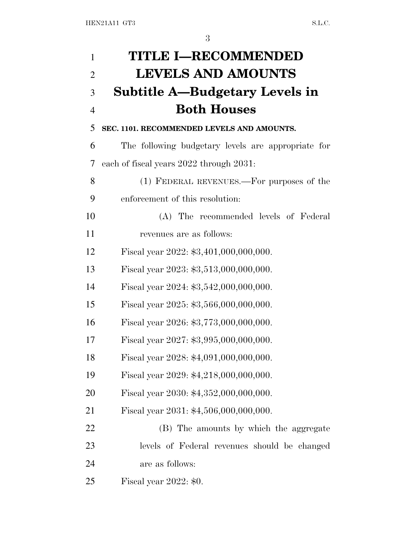| $\mathbf{1}$   | <b>TITLE I-RECOMMENDED</b>                         |
|----------------|----------------------------------------------------|
| $\overline{2}$ | <b>LEVELS AND AMOUNTS</b>                          |
| 3              | Subtitle A—Budgetary Levels in                     |
| $\overline{4}$ | <b>Both Houses</b>                                 |
| 5              | SEC. 1101. RECOMMENDED LEVELS AND AMOUNTS.         |
| 6              | The following budgetary levels are appropriate for |
| 7              | each of fiscal years 2022 through 2031:            |
| 8              | (1) FEDERAL REVENUES.—For purposes of the          |
| 9              | enforcement of this resolution:                    |
| 10             | (A) The recommended levels of Federal              |
| 11             | revenues are as follows:                           |
| 12             | Fiscal year 2022: \$3,401,000,000,000.             |
| 13             | Fiscal year 2023: \$3,513,000,000,000.             |
| 14             | Fiscal year 2024: \$3,542,000,000,000.             |
| 15             | Fiscal year 2025: \$3,566,000,000,000.             |
| 16             | Fiscal year 2026: \$3,773,000,000,000.             |
| 17             | Fiscal year 2027: \$3,995,000,000,000.             |
| 18             | Fiscal year 2028: \$4,091,000,000,000.             |
| 19             | Fiscal year 2029: \$4,218,000,000,000.             |
| 20             | Fiscal year 2030: \$4,352,000,000,000.             |
| 21             | Fiscal year 2031: \$4,506,000,000,000.             |
| 22             | (B) The amounts by which the aggregate             |
| 23             | levels of Federal revenues should be changed       |
| 24             | are as follows:                                    |
| 25             | Fiscal year $2022: $0.$                            |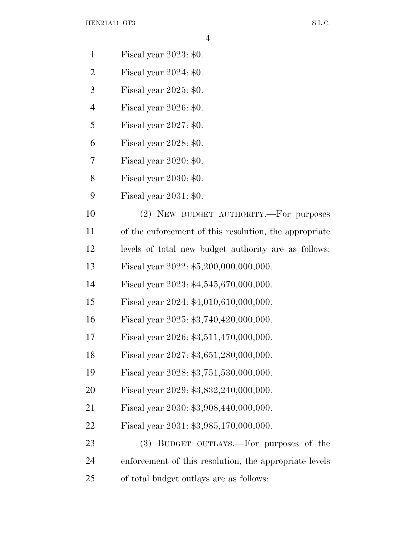- Fiscal year 2023: \$0.
- Fiscal year 2024: \$0.
- Fiscal year 2025: \$0.
- Fiscal year 2026: \$0.
- Fiscal year 2027: \$0.
- Fiscal year 2028: \$0.
- Fiscal year 2020: \$0.
- Fiscal year 2030: \$0.
- Fiscal year 2031: \$0.

 (2) NEW BUDGET AUTHORITY.—For purposes of the enforcement of this resolution, the appropriate levels of total new budget authority are as follows: Fiscal year 2022: \$5,200,000,000,000.

Fiscal year 2023: \$4,545,670,000,000.

Fiscal year 2024: \$4,010,610,000,000.

Fiscal year 2025: \$3,740,420,000,000.

Fiscal year 2026: \$3,511,470,000,000.

Fiscal year 2027: \$3,651,280,000,000.

Fiscal year 2028: \$3,751,530,000,000.

Fiscal year 2029: \$3,832,240,000,000.

Fiscal year 2030: \$3,908,440,000,000.

Fiscal year 2031: \$3,985,170,000,000.

 (3) BUDGET OUTLAYS.—For purposes of the enforcement of this resolution, the appropriate levels of total budget outlays are as follows: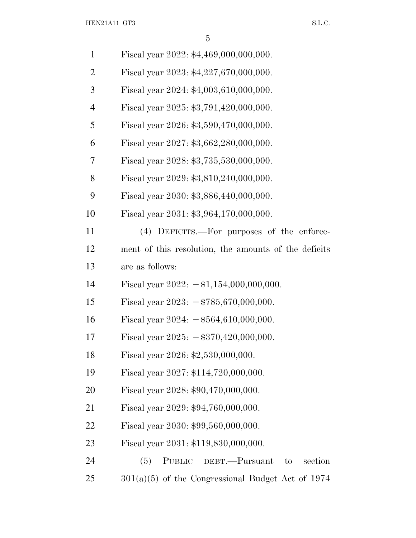HEN21A11 GT3 S.L.C.

| $\mathbf{1}$   | Fiscal year 2022: \$4,469,000,000,000.                  |
|----------------|---------------------------------------------------------|
| $\overline{2}$ | Fiscal year 2023: \$4,227,670,000,000.                  |
| 3              | Fiscal year 2024: $$4,003,610,000,000$ .                |
| $\overline{4}$ | Fiscal year 2025: \$3,791,420,000,000.                  |
| 5              | Fiscal year 2026: \$3,590,470,000,000.                  |
| 6              | Fiscal year 2027: \$3,662,280,000,000.                  |
| 7              | Fiscal year 2028: \$3,735,530,000,000.                  |
| 8              | Fiscal year 2029: \$3,810,240,000,000.                  |
| 9              | Fiscal year 2030: \$3,886,440,000,000.                  |
| 10             | Fiscal year 2031: \$3,964,170,000,000.                  |
| 11             | (4) DEFICITS.—For purposes of the enforce-              |
| 12             | ment of this resolution, the amounts of the deficits    |
| 13             | are as follows:                                         |
| 14             | Fiscal year 2022: $-\frac{1}{3}$ , 154, 000, 000, 000.  |
| 15             | Fiscal year 2023: $-\frac{25}{5,670,000,000}$ .         |
| 16             | Fiscal year 2024: $-$ \$564,610,000,000.                |
| 17             | Fiscal year $2025: -\$370,420,000,000.$                 |
| 18             | Fiscal year 2026: \$2,530,000,000.                      |
| 19             | Fiscal year 2027: \$114,720,000,000.                    |
| 20             | Fiscal year 2028: \$90,470,000,000.                     |
| 21             | Fiscal year 2029: \$94,760,000,000.                     |
| 22             | Fiscal year 2030: \$99,560,000,000.                     |
| 23             | Fiscal year 2031: \$119,830,000,000.                    |
| 24             | <b>PUBLIC</b><br>DEBT.—Pursuant<br>section<br>(5)<br>to |
| 25             | $301(a)(5)$ of the Congressional Budget Act of 1974     |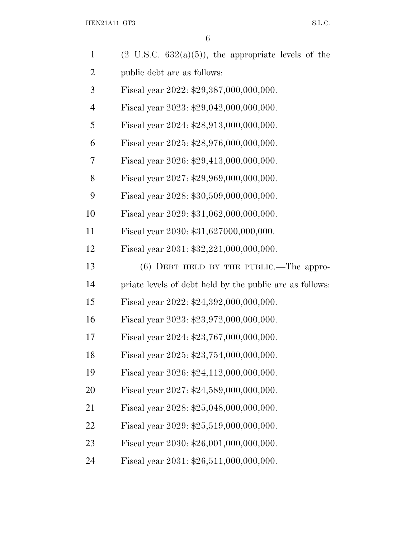HEN21A11 GT3 S.L.C.

| $\mathbf{1}$   | $(2 \text{ U.S.C. } 632(a)(5))$ , the appropriate levels of the |
|----------------|-----------------------------------------------------------------|
| $\overline{2}$ | public debt are as follows:                                     |
| 3              | Fiscal year 2022: \$29,387,000,000,000.                         |
| $\overline{4}$ | Fiscal year 2023: \$29,042,000,000,000.                         |
| 5              | Fiscal year 2024: \$28,913,000,000,000.                         |
| 6              | Fiscal year 2025: \$28,976,000,000,000.                         |
| 7              | Fiscal year 2026: \$29,413,000,000,000.                         |
| 8              | Fiscal year 2027: \$29,969,000,000,000.                         |
| 9              | Fiscal year 2028: \$30,509,000,000,000.                         |
| 10             | Fiscal year 2029: \$31,062,000,000,000.                         |
| 11             | Fiscal year 2030: \$31,627000,000,000.                          |
| 12             | Fiscal year 2031: \$32,221,000,000,000.                         |
|                |                                                                 |
| 13             | $(6)$ DEBT HELD BY THE PUBLIC.—The appro-                       |
| 14             | priate levels of debt held by the public are as follows:        |
| 15             | Fiscal year 2022: \$24,392,000,000,000.                         |
| 16             | Fiscal year 2023: \$23,972,000,000,000.                         |
| 17             | Fiscal year 2024: \$23,767,000,000,000.                         |
| 18             | Fiscal year 2025: \$23,754,000,000,000.                         |
| 19             | Fiscal year 2026: \$24,112,000,000,000.                         |
| 20             | Fiscal year 2027: \$24,589,000,000,000.                         |
| 21             | Fiscal year 2028: \$25,048,000,000,000.                         |
| 22             | Fiscal year 2029: \$25,519,000,000,000.                         |
| 23             | Fiscal year 2030: \$26,001,000,000,000.                         |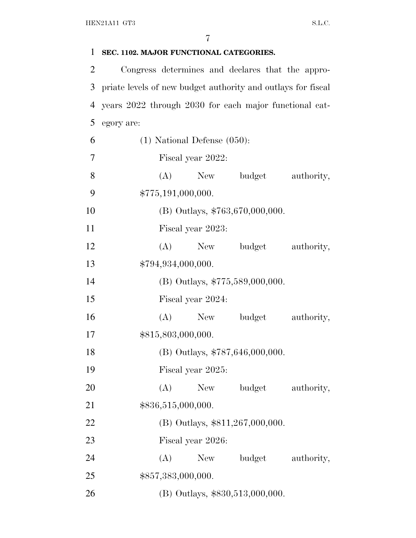| 1              | SEC. 1102. MAJOR FUNCTIONAL CATEGORIES.                      |  |  |  |
|----------------|--------------------------------------------------------------|--|--|--|
| $\overline{2}$ | Congress determines and declares that the appro-             |  |  |  |
| 3              | priate levels of new budget authority and outlays for fiscal |  |  |  |
| 4              | years 2022 through 2030 for each major functional cat-       |  |  |  |
| 5              | egory are:                                                   |  |  |  |
| 6              | $(1)$ National Defense $(050)$ :                             |  |  |  |
| 7              | Fiscal year 2022:                                            |  |  |  |
| 8              | budget<br>(A)<br>New<br>authority,                           |  |  |  |
| 9              | \$775,191,000,000.                                           |  |  |  |
| 10             | (B) Outlays, \$763,670,000,000.                              |  |  |  |
| 11             | Fiscal year 2023:                                            |  |  |  |
| 12             | budget<br>authority,<br>$(A)$ New                            |  |  |  |
| 13             | \$794,934,000,000.                                           |  |  |  |
| 14             | (B) Outlays, \$775,589,000,000.                              |  |  |  |
| 15             | Fiscal year 2024:                                            |  |  |  |
| 16             | (A)<br>budget<br>authority,<br>New                           |  |  |  |
| 17             | \$815,803,000,000.                                           |  |  |  |
| 18             | (B) Outlays, \$787,646,000,000.                              |  |  |  |
| 19             | Fiscal year 2025:                                            |  |  |  |
| 20             | (A)<br>budget<br>authority,<br>New                           |  |  |  |
| 21             | \$836,515,000,000.                                           |  |  |  |
| 22             | (B) Outlays, \$811,267,000,000.                              |  |  |  |
| 23             | Fiscal year 2026:                                            |  |  |  |
| 24             | budget<br>(A)<br>New<br>authority,                           |  |  |  |
| 25             | \$857,383,000,000.                                           |  |  |  |
| 26             | (B) Outlays, \$830,513,000,000.                              |  |  |  |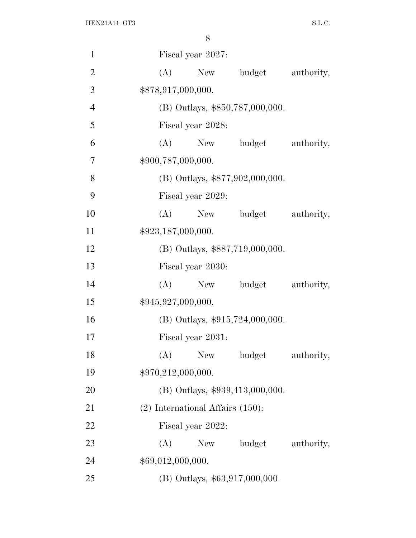| $\mathbf{1}$   | Fiscal year 2027:                     |
|----------------|---------------------------------------|
| $\overline{2}$ | budget<br>(A)<br>New<br>authority,    |
| 3              | \$878,917,000,000.                    |
| $\overline{4}$ | (B) Outlays, \$850,787,000,000.       |
| 5              | Fiscal year 2028:                     |
| 6              | budget<br>(A)<br>New<br>authority,    |
| 7              | \$900,787,000,000.                    |
| 8              | (B) Outlays, \$877,902,000,000.       |
| 9              | Fiscal year 2029:                     |
| 10             | (A)<br>New<br>budget<br>authority,    |
| 11             | \$923,187,000,000.                    |
| 12             | (B) Outlays, \$887,719,000,000.       |
| 13             | Fiscal year 2030:                     |
| 14             | New budget<br>authority,<br>(A)       |
| 15             | \$945,927,000,000.                    |
| 16             | (B) Outlays, $$915,724,000,000$ .     |
| 17             | Fiscal year 2031:                     |
| 18             | $(A)$ New<br>budget<br>authority,     |
| 19             | \$970,212,000,000.                    |
| 20             | (B) Outlays, \$939,413,000,000.       |
| 21             | $(2)$ International Affairs $(150)$ : |
| 22             | Fiscal year 2022:                     |
| 23             | (A)<br>budget<br>New<br>authority,    |
| 24             | \$69,012,000,000.                     |
| 25             | (B) Outlays, \$63,917,000,000.        |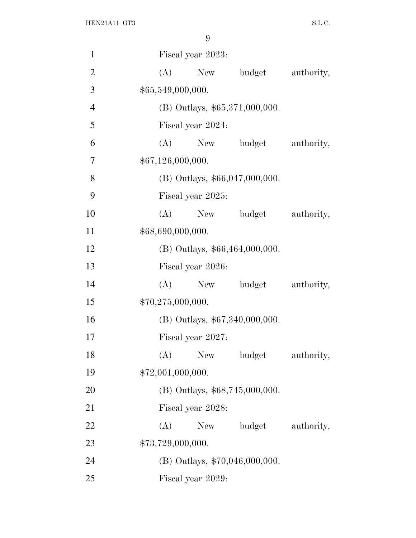| $\mathbf{1}$   |                   | Fiscal year 2023: |                                  |            |
|----------------|-------------------|-------------------|----------------------------------|------------|
| $\overline{2}$ | (A)               |                   | New budget                       | authority, |
| 3              | \$65,549,000,000. |                   |                                  |            |
| $\overline{4}$ |                   |                   | $(B)$ Outlays, \$65,371,000,000. |            |
| 5              |                   | Fiscal year 2024: |                                  |            |
| 6              | (A)               |                   | New budget                       | authority, |
| $\tau$         | \$67,126,000,000. |                   |                                  |            |
| 8              |                   |                   | $(B)$ Outlays, \$66,047,000,000. |            |
| 9              |                   | Fiscal year 2025: |                                  |            |
| 10             | (A)               |                   | New budget                       | authority, |
| 11             | \$68,690,000,000. |                   |                                  |            |
| 12             |                   |                   | (B) Outlays, \$66,464,000,000.   |            |
| 13             |                   | Fiscal year 2026: |                                  |            |
| 14             | (A)               |                   | New budget                       | authority, |
| 15             | \$70,275,000,000. |                   |                                  |            |
| 16             |                   |                   | (B) Outlays, \$67,340,000,000.   |            |
| 17             |                   | Fiscal year 2027: |                                  |            |
| 18             |                   | $(A)$ New         | budget                           | authority, |
| 19             | \$72,001,000,000. |                   |                                  |            |
| 20             |                   |                   | (B) Outlays, \$68,745,000,000.   |            |
| 21             |                   | Fiscal year 2028: |                                  |            |
| 22             | (A)               | New               | budget                           | authority, |
| 23             | \$73,729,000,000. |                   |                                  |            |
| 24             |                   |                   | (B) Outlays, \$70,046,000,000.   |            |
| 25             |                   | Fiscal year 2029: |                                  |            |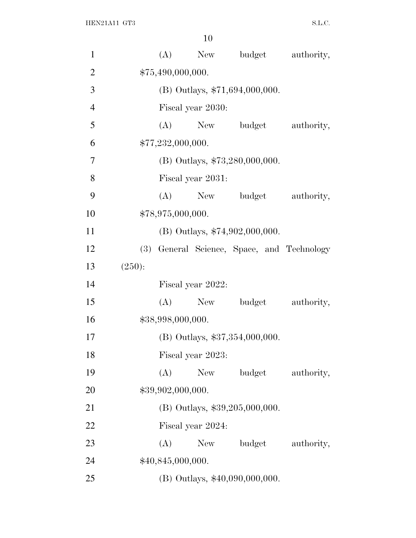| $\mathbf{1}$   |        | (A)               |                   | New budget                                 | authority, |  |
|----------------|--------|-------------------|-------------------|--------------------------------------------|------------|--|
| $\overline{2}$ |        | \$75,490,000,000. |                   |                                            |            |  |
| 3              |        |                   |                   | (B) Outlays, \$71,694,000,000.             |            |  |
| $\overline{4}$ |        |                   | Fiscal year 2030: |                                            |            |  |
| 5              |        |                   |                   | (A) New budget                             | authority, |  |
| 6              |        | \$77,232,000,000. |                   |                                            |            |  |
| 7              |        |                   |                   | $(B)$ Outlays, \$73,280,000,000.           |            |  |
| 8              |        |                   | Fiscal year 2031: |                                            |            |  |
| 9              |        | (A)               |                   | New budget                                 | authority, |  |
| 10             |        | \$78,975,000,000. |                   |                                            |            |  |
| 11             |        |                   |                   | $(B)$ Outlays, \$74,902,000,000.           |            |  |
| 12             |        |                   |                   | (3) General Science, Space, and Technology |            |  |
| 13             | (250): |                   |                   |                                            |            |  |
| 14             |        |                   | Fiscal year 2022: |                                            |            |  |
| 15             |        | (A)               | New               | budget                                     | authority, |  |
| 16             |        | \$38,998,000,000. |                   |                                            |            |  |
| 17             |        |                   |                   | (B) Outlays, \$37,354,000,000.             |            |  |
| 18             |        |                   | Fiscal year 2023: |                                            |            |  |
| 19             |        | (A)               | New               | budget                                     | authority, |  |
| 20             |        | \$39,902,000,000. |                   |                                            |            |  |
| 21             |        |                   |                   | $(B)$ Outlays, \$39,205,000,000.           |            |  |
| 22             |        |                   | Fiscal year 2024: |                                            |            |  |
| 23             |        | (A)               | New               | budget                                     | authority, |  |
| 24             |        | \$40,845,000,000. |                   |                                            |            |  |
| 25             |        |                   |                   | (B) Outlays, \$40,090,000,000.             |            |  |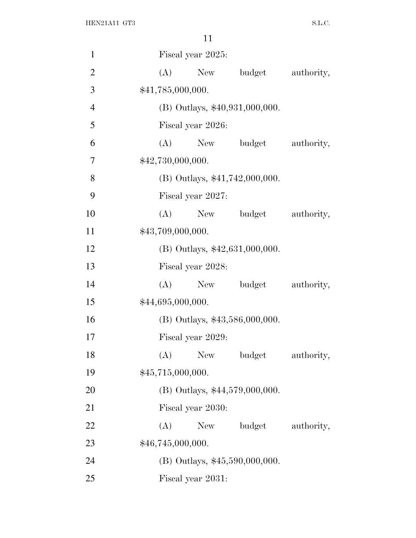| $\mathbf{1}$   | Fiscal year 2025:                         |
|----------------|-------------------------------------------|
| $\overline{2}$ | New budget<br>(A)<br>authority,           |
| 3              | \$41,785,000,000.                         |
| $\overline{4}$ | (B) Outlays, \$40,931,000,000.            |
| 5              | Fiscal year 2026:                         |
| 6              | New budget<br>(A)<br>authority,           |
| 7              | \$42,730,000,000.                         |
| 8              | (B) Outlays, \$41,742,000,000.            |
| 9              | Fiscal year 2027:                         |
| 10             | (A)<br>New budget<br>authority,           |
| 11             | \$43,709,000,000.                         |
| 12             | (B) Outlays, \$42,631,000,000.            |
| 13             | Fiscal year 2028:                         |
| 14             | (A)<br>New budget<br>authority,           |
| 15             | \$44,695,000,000.                         |
| 16             | (B) Outlays, \$43,586,000,000.            |
| 17             | Fiscal year 2029:                         |
| 18             | (A)<br><b>New</b><br>budget<br>authority, |
| 19             | \$45,715,000,000.                         |
| 20             | (B) Outlays, \$44,579,000,000.            |
| 21             | Fiscal year 2030:                         |
| 22             | (A)<br>budget<br>New<br>authority,        |
| 23             | \$46,745,000,000.                         |
| 24             | $(B)$ Outlays, \$45,590,000,000.          |
| 25             | Fiscal year 2031:                         |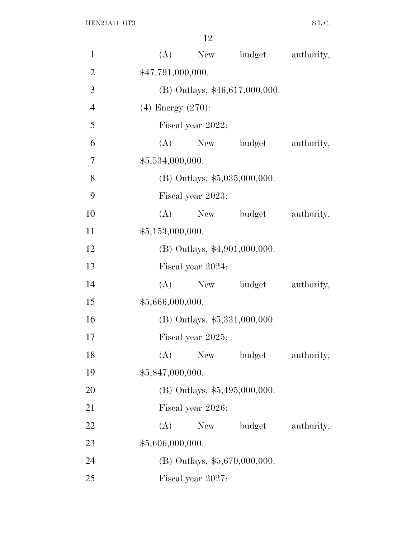| $\mathbf{1}$   | (A)<br>New budget                | authority, |  |  |  |  |  |
|----------------|----------------------------------|------------|--|--|--|--|--|
| $\overline{2}$ | \$47,791,000,000.                |            |  |  |  |  |  |
| 3              | $(B)$ Outlays, \$46,617,000,000. |            |  |  |  |  |  |
| $\overline{4}$ | $(4)$ Energy $(270)$ :           |            |  |  |  |  |  |
| 5              | Fiscal year 2022:                |            |  |  |  |  |  |
| 6              | New budget<br>(A)                | authority, |  |  |  |  |  |
| 7              | \$5,534,000,000.                 |            |  |  |  |  |  |
| 8              | $(B)$ Outlays, \$5,035,000,000.  |            |  |  |  |  |  |
| 9              | Fiscal year 2023:                |            |  |  |  |  |  |
| 10             | (A)<br>New budget                | authority, |  |  |  |  |  |
| 11             | \$5,153,000,000.                 |            |  |  |  |  |  |
| 12             | (B) Outlays, \$4,901,000,000.    |            |  |  |  |  |  |
| 13             | Fiscal year 2024:                |            |  |  |  |  |  |
| 14             | (A)<br>New budget                | authority, |  |  |  |  |  |
| 15             | \$5,666,000,000.                 |            |  |  |  |  |  |
| 16             | $(B)$ Outlays, \$5,331,000,000.  |            |  |  |  |  |  |
| 17             | Fiscal year 2025:                |            |  |  |  |  |  |
| 18             | (A)<br>New<br>budget             | authority, |  |  |  |  |  |
| 19             | \$5,847,000,000.                 |            |  |  |  |  |  |
| 20             | (B) Outlays, $$5,495,000,000$ .  |            |  |  |  |  |  |
| 21             | Fiscal year 2026:                |            |  |  |  |  |  |
| 22             | (A)<br>New<br>budget             | authority, |  |  |  |  |  |
| 23             | \$5,606,000,000.                 |            |  |  |  |  |  |
| 24             | (B) Outlays, \$5,670,000,000.    |            |  |  |  |  |  |
| 25             | Fiscal year 2027:                |            |  |  |  |  |  |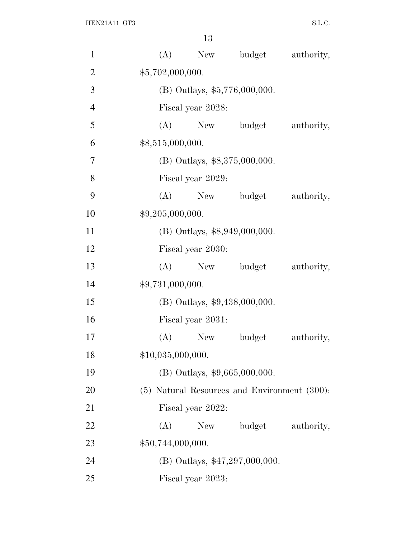| $\mathbf{1}$   | (A)                                               | New              | budget                          | authority, |  |  |
|----------------|---------------------------------------------------|------------------|---------------------------------|------------|--|--|
| $\overline{2}$ |                                                   | \$5,702,000,000. |                                 |            |  |  |
| 3              |                                                   |                  | (B) Outlays, \$5,776,000,000.   |            |  |  |
| $\overline{4}$ | Fiscal year 2028:                                 |                  |                                 |            |  |  |
| 5              | (A)                                               |                  | New budget                      | authority, |  |  |
| 6              | \$8,515,000,000.                                  |                  |                                 |            |  |  |
| $\overline{7}$ |                                                   |                  | (B) Outlays, \$8,375,000,000.   |            |  |  |
| 8              | Fiscal year 2029:                                 |                  |                                 |            |  |  |
| 9              | (A)                                               | New              | budget                          | authority, |  |  |
| 10             | \$9,205,000,000.                                  |                  |                                 |            |  |  |
| 11             |                                                   |                  | (B) Outlays, \$8,949,000,000.   |            |  |  |
| 12             | Fiscal year 2030:                                 |                  |                                 |            |  |  |
| 13             | (A)                                               | New              | budget                          | authority, |  |  |
| 14             | \$9,731,000,000.                                  |                  |                                 |            |  |  |
| 15             |                                                   |                  | $(B)$ Outlays, \$9,438,000,000. |            |  |  |
| 16             | Fiscal year 2031:                                 |                  |                                 |            |  |  |
| 17             | (A)                                               | New              | budget                          | authority, |  |  |
| 18             | \$10,035,000,000.                                 |                  |                                 |            |  |  |
| 19             |                                                   |                  | $(B)$ Outlays, \$9,665,000,000. |            |  |  |
| 20             | $(5)$ Natural Resources and Environment $(300)$ : |                  |                                 |            |  |  |
| 21             | Fiscal year 2022:                                 |                  |                                 |            |  |  |
| 22             | (A)                                               | New              | budget                          | authority, |  |  |
| 23             | \$50,744,000,000.                                 |                  |                                 |            |  |  |
| 24             |                                                   |                  | (B) Outlays, \$47,297,000,000.  |            |  |  |
| 25             | Fiscal year 2023:                                 |                  |                                 |            |  |  |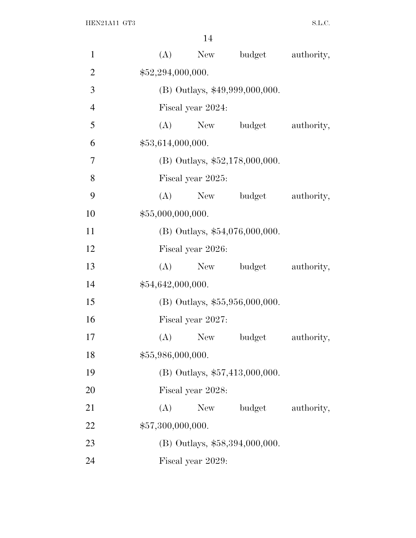| $\mathbf{1}$   | (A)               | New               | budget                           | authority, |  |  |
|----------------|-------------------|-------------------|----------------------------------|------------|--|--|
| $\overline{2}$ |                   | \$52,294,000,000. |                                  |            |  |  |
| 3              |                   |                   | (B) Outlays, \$49,999,000,000.   |            |  |  |
| $\overline{4}$ |                   | Fiscal year 2024: |                                  |            |  |  |
| 5              | (A)               | New               | budget                           | authority, |  |  |
| 6              | \$53,614,000,000. |                   |                                  |            |  |  |
| 7              |                   |                   | (B) Outlays, \$52,178,000,000.   |            |  |  |
| 8              |                   | Fiscal year 2025: |                                  |            |  |  |
| 9              | (A)               | New               | budget                           | authority, |  |  |
| 10             | \$55,000,000,000. |                   |                                  |            |  |  |
| 11             |                   |                   | $(B)$ Outlays, \$54,076,000,000. |            |  |  |
| 12             |                   | Fiscal year 2026: |                                  |            |  |  |
| 13             | (A)               | New               | budget                           | authority, |  |  |
| 14             | \$54,642,000,000. |                   |                                  |            |  |  |
| 15             |                   |                   | (B) Outlays, \$55,956,000,000.   |            |  |  |
| 16             |                   | Fiscal year 2027: |                                  |            |  |  |
| 17             | (A)               | <b>New</b>        | budget                           | authority, |  |  |
| 18             | \$55,986,000,000. |                   |                                  |            |  |  |
| 19             |                   |                   | $(B)$ Outlays, \$57,413,000,000. |            |  |  |
| 20             |                   | Fiscal year 2028: |                                  |            |  |  |
| 21             | (A)               | New               | budget                           | authority, |  |  |
| 22             | \$57,300,000,000. |                   |                                  |            |  |  |
| 23             |                   |                   | (B) Outlays, \$58,394,000,000.   |            |  |  |
| 24             |                   | Fiscal year 2029: |                                  |            |  |  |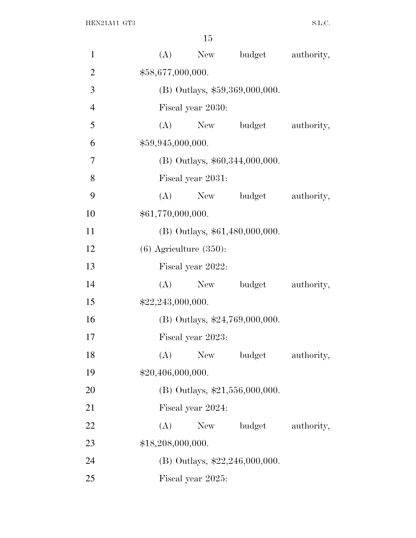| $\mathbf{1}$   | (A)                         | New               | budget                           | authority, |  |  |  |
|----------------|-----------------------------|-------------------|----------------------------------|------------|--|--|--|
| $\overline{2}$ |                             | \$58,677,000,000. |                                  |            |  |  |  |
| 3              |                             |                   | $(B)$ Outlays, \$59,369,000,000. |            |  |  |  |
| $\overline{4}$ |                             | Fiscal year 2030: |                                  |            |  |  |  |
| 5              | (A)                         |                   | New budget                       | authority, |  |  |  |
| 6              | \$59,945,000,000.           |                   |                                  |            |  |  |  |
| 7              |                             |                   | $(B)$ Outlays, \$60,344,000,000. |            |  |  |  |
| 8              |                             | Fiscal year 2031: |                                  |            |  |  |  |
| 9              | (A)                         | New               | budget                           | authority, |  |  |  |
| 10             | \$61,770,000,000.           |                   |                                  |            |  |  |  |
| 11             |                             |                   | (B) Outlays, \$61,480,000,000.   |            |  |  |  |
| 12             | $(6)$ Agriculture $(350)$ : |                   |                                  |            |  |  |  |
| 13             |                             | Fiscal year 2022: |                                  |            |  |  |  |
| 14             | (A)                         | New               | budget                           | authority, |  |  |  |
| 15             | \$22,243,000,000.           |                   |                                  |            |  |  |  |
| 16             |                             |                   | (B) Outlays, \$24,769,000,000.   |            |  |  |  |
| 17             |                             | Fiscal year 2023: |                                  |            |  |  |  |
| 18             | (A)                         | <b>New</b>        | budget                           | authority, |  |  |  |
| 19             | \$20,406,000,000.           |                   |                                  |            |  |  |  |
| 20             |                             |                   | (B) Outlays, $$21,556,000,000$ . |            |  |  |  |
| 21             |                             | Fiscal year 2024: |                                  |            |  |  |  |
| 22             | (A)                         | New               | budget                           | authority, |  |  |  |
| 23             | \$18,208,000,000.           |                   |                                  |            |  |  |  |
| 24             |                             |                   | (B) Outlays, \$22,246,000,000.   |            |  |  |  |
| 25             |                             | Fiscal year 2025: |                                  |            |  |  |  |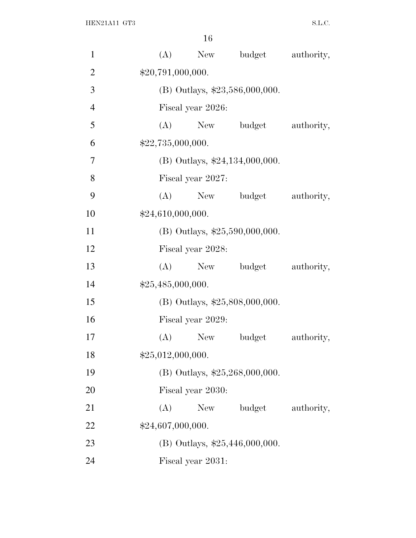| $\mathbf{1}$   | (A)               | New               |                                  | budget authority, |
|----------------|-------------------|-------------------|----------------------------------|-------------------|
| $\overline{2}$ | \$20,791,000,000. |                   |                                  |                   |
| 3              |                   |                   | (B) Outlays, \$23,586,000,000.   |                   |
| $\overline{4}$ |                   | Fiscal year 2026: |                                  |                   |
| 5              | (A)               |                   | New budget                       | authority,        |
| 6              | \$22,735,000,000. |                   |                                  |                   |
| $\overline{7}$ |                   |                   | $(B)$ Outlays, \$24,134,000,000. |                   |
| 8              |                   | Fiscal year 2027: |                                  |                   |
| 9              | (A)               | New               | budget                           | authority,        |
| 10             | \$24,610,000,000. |                   |                                  |                   |
| 11             |                   |                   | (B) Outlays, $$25,590,000,000$ . |                   |
| 12             |                   | Fiscal year 2028: |                                  |                   |
| 13             | (A)               | New               |                                  | budget authority, |
| 14             | \$25,485,000,000. |                   |                                  |                   |
| 15             |                   |                   | (B) Outlays, \$25,808,000,000.   |                   |
| 16             |                   | Fiscal year 2029: |                                  |                   |
| 17             | (A)               | New               | budget                           | authority,        |
| 18             | \$25,012,000,000. |                   |                                  |                   |
| 19             |                   |                   | (B) Outlays, \$25,268,000,000.   |                   |
| 20             |                   | Fiscal year 2030: |                                  |                   |
| 21             | (A)               | New               | budget                           | authority,        |
| 22             | \$24,607,000,000. |                   |                                  |                   |
| 23             |                   |                   | (B) Outlays, $$25,446,000,000$ . |                   |
| 24             |                   | Fiscal year 2031: |                                  |                   |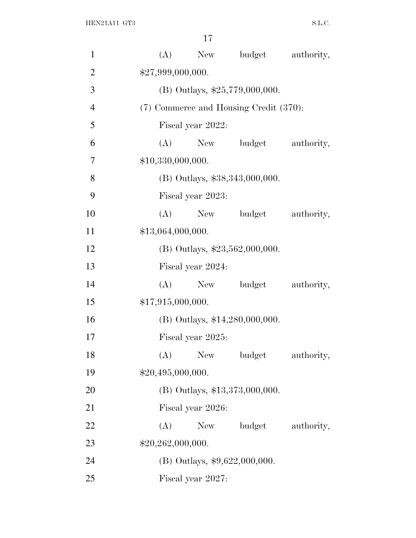| $\mathbf{1}$   | (A)               | New               | budget                                 | authority, |
|----------------|-------------------|-------------------|----------------------------------------|------------|
| $\mathbf{2}$   | \$27,999,000,000. |                   |                                        |            |
| 3              |                   |                   | (B) Outlays, \$25,779,000,000.         |            |
| $\overline{4}$ |                   |                   | (7) Commerce and Housing Credit (370): |            |
| 5              |                   | Fiscal year 2022: |                                        |            |
| 6              |                   | $(A)$ New         | budget                                 | authority, |
| 7              | \$10,330,000,000. |                   |                                        |            |
| 8              |                   |                   | (B) Outlays, \$38,343,000,000.         |            |
| 9              |                   | Fiscal year 2023: |                                        |            |
| 10             | (A)               | New               | budget                                 | authority, |
| 11             | \$13,064,000,000. |                   |                                        |            |
| 12             |                   |                   | (B) Outlays, $$23,562,000,000$ .       |            |
| 13             |                   | Fiscal year 2024: |                                        |            |
| 14             | (A)               |                   | New budget                             | authority, |
| 15             | \$17,915,000,000. |                   |                                        |            |
| 16             |                   |                   | (B) Outlays, \$14,280,000,000.         |            |
| 17             |                   | Fiscal year 2025: |                                        |            |
| 18             |                   |                   | (A) New budget                         | authority, |
| 19             | \$20,495,000,000. |                   |                                        |            |
| 20             |                   |                   | (B) Outlays, \$13,373,000,000.         |            |
| 21             |                   | Fiscal year 2026: |                                        |            |
| 22             | (A)               | New               | budget                                 | authority, |
| 23             | \$20,262,000,000. |                   |                                        |            |
| 24             |                   |                   | (B) Outlays, \$9,622,000,000.          |            |
| 25             |                   | Fiscal year 2027: |                                        |            |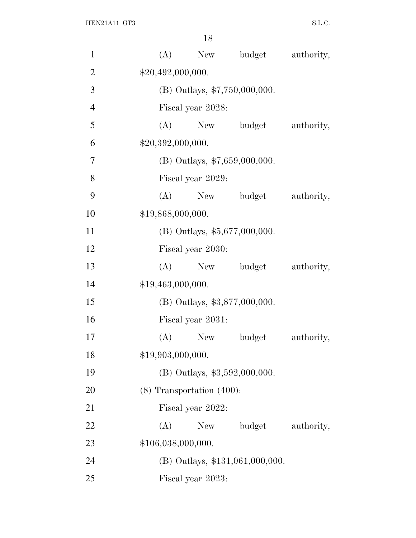| $\mathbf{1}$   | (A)<br>New budget<br>authority,    |  |
|----------------|------------------------------------|--|
| $\overline{2}$ | \$20,492,000,000.                  |  |
| 3              | (B) Outlays, \$7,750,000,000.      |  |
| $\overline{4}$ | Fiscal year 2028:                  |  |
| 5              | (A) New budget<br>authority,       |  |
| 6              | \$20,392,000,000.                  |  |
| $\overline{7}$ | (B) Outlays, $$7,659,000,000$ .    |  |
| 8              | Fiscal year 2029:                  |  |
| 9              | (A)<br>New budget<br>authority,    |  |
| 10             | \$19,868,000,000.                  |  |
| 11             | (B) Outlays, \$5,677,000,000.      |  |
| 12             | Fiscal year 2030:                  |  |
| 13             | (A)<br>New budget<br>authority,    |  |
| 14             | \$19,463,000,000.                  |  |
| 15             | (B) Outlays, \$3,877,000,000.      |  |
| 16             | Fiscal year 2031:                  |  |
| 17             | (A)<br>budget<br>authority,<br>New |  |
| 18             | \$19,903,000,000.                  |  |
| 19             | (B) Outlays, \$3,592,000,000.      |  |
| 20             | $(8)$ Transportation $(400)$ :     |  |
| 21             | Fiscal year 2022:                  |  |
| 22             | (A)<br>New<br>budget<br>authority, |  |
| 23             | \$106,038,000,000.                 |  |
| 24             | (B) Outlays, \$131,061,000,000.    |  |
| 25             | Fiscal year 2023:                  |  |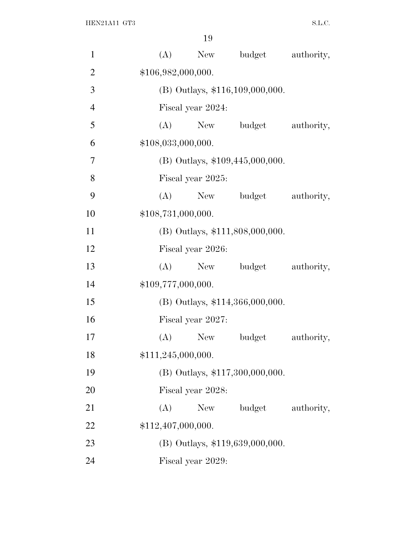| $\mathbf{1}$   | (A)                | New | budget                            | authority, |
|----------------|--------------------|-----|-----------------------------------|------------|
| $\overline{2}$ | \$106,982,000,000. |     |                                   |            |
| 3              |                    |     | (B) Outlays, \$116,109,000,000.   |            |
| $\overline{4}$ | Fiscal year 2024:  |     |                                   |            |
| 5              | (A)                | New | budget                            | authority, |
| 6              | \$108,033,000,000. |     |                                   |            |
| 7              |                    |     | (B) Outlays, \$109,445,000,000.   |            |
| 8              | Fiscal year 2025:  |     |                                   |            |
| 9              | (A)                | New | budget                            | authority, |
| 10             | \$108,731,000,000. |     |                                   |            |
| 11             |                    |     | (B) Outlays, \$111,808,000,000.   |            |
| 12             | Fiscal year 2026:  |     |                                   |            |
| 13             | (A)                | New | budget                            | authority, |
| 14             | \$109,777,000,000. |     |                                   |            |
| 15             |                    |     | $(B)$ Outlays, \$114,366,000,000. |            |
| 16             | Fiscal year 2027:  |     |                                   |            |
| 17             | (A)                | New | budget                            | authority, |
| 18             | \$111,245,000,000. |     |                                   |            |
| 19             |                    |     | (B) Outlays, \$117,300,000,000.   |            |
| 20             | Fiscal year 2028:  |     |                                   |            |
| 21             | (A)                | New | budget                            | authority, |
| 22             | \$112,407,000,000. |     |                                   |            |
| 23             |                    |     | (B) Outlays, \$119,639,000,000.   |            |
| 24             | Fiscal year 2029:  |     |                                   |            |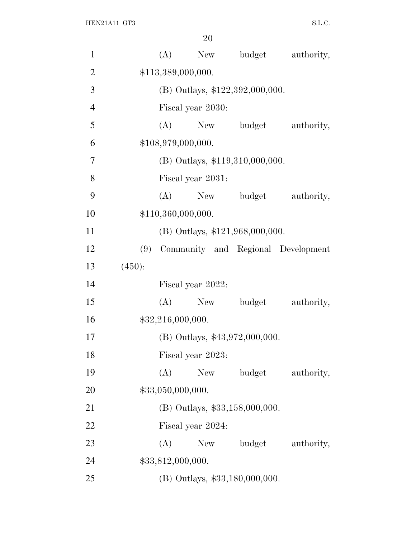| $\mathbf{1}$   |        |     | $(A)$ New                         | budget | authority,                             |
|----------------|--------|-----|-----------------------------------|--------|----------------------------------------|
| $\overline{2}$ |        |     | \$113,389,000,000.                |        |                                        |
| 3              |        |     | (B) Outlays, \$122,392,000,000.   |        |                                        |
| $\overline{4}$ |        |     | Fiscal year 2030:                 |        |                                        |
| 5              |        |     | (A) New budget                    |        | authority,                             |
| 6              |        |     | \$108,979,000,000.                |        |                                        |
| 7              |        |     | $(B)$ Outlays, \$119,310,000,000. |        |                                        |
| 8              |        |     | Fiscal year 2031:                 |        |                                        |
| 9              |        | (A) | New                               | budget | authority,                             |
| 10             |        |     | \$110,360,000,000.                |        |                                        |
| 11             |        |     | (B) Outlays, \$121,968,000,000.   |        |                                        |
| 12             |        |     |                                   |        | (9) Community and Regional Development |
| 13             | (450): |     |                                   |        |                                        |
| 14             |        |     | Fiscal year 2022:                 |        |                                        |
| 15             |        | (A) | New                               | budget | authority,                             |
| 16             |        |     | \$32,216,000,000.                 |        |                                        |
| 17             |        |     | (B) Outlays, \$43,972,000,000.    |        |                                        |
| 18             |        |     | Fiscal year 2023:                 |        |                                        |
| 19             |        | (A) | <b>New</b>                        | budget | authority,                             |
| 20             |        |     | \$33,050,000,000.                 |        |                                        |
| 21             |        |     | (B) Outlays, \$33,158,000,000.    |        |                                        |
| 22             |        |     | Fiscal year 2024:                 |        |                                        |
| 23             |        | (A) | New                               | budget | authority,                             |
| 24             |        |     | \$33,812,000,000.                 |        |                                        |
| 25             |        |     | (B) Outlays, \$33,180,000,000.    |        |                                        |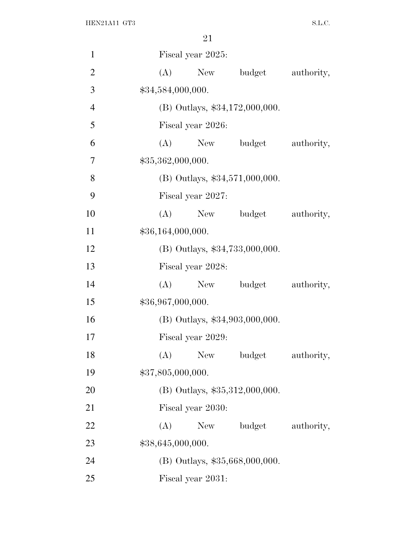| $\mathbf{1}$   | Fiscal year 2025:                         |
|----------------|-------------------------------------------|
| $\overline{2}$ | budget<br>(A)<br>New<br>authority,        |
| 3              | \$34,584,000,000.                         |
| $\overline{4}$ | $(B)$ Outlays, \$34,172,000,000.          |
| 5              | Fiscal year 2026:                         |
| 6              | (A)<br>New budget<br>authority,           |
| 7              | \$35,362,000,000.                         |
| 8              | $(B)$ Outlays, \$34,571,000,000.          |
| 9              | Fiscal year 2027:                         |
| 10             | (A)<br>New budget<br>authority,           |
| 11             | \$36,164,000,000.                         |
| 12             | (B) Outlays, \$34,733,000,000.            |
| 13             | Fiscal year 2028:                         |
| 14             | (A)<br>budget<br>authority,<br>New        |
| 15             | \$36,967,000,000.                         |
| 16             | (B) Outlays, \$34,903,000,000.            |
| 17             | Fiscal year 2029:                         |
| 18             | budget<br><b>New</b><br>authority,<br>(A) |
| 19             | \$37,805,000,000.                         |
| 20             | $(B)$ Outlays, \$35,312,000,000.          |
| 21             | Fiscal year 2030:                         |
| 22             | (A)<br>budget<br>authority,<br>New        |
| 23             | \$38,645,000,000.                         |
| 24             | $(B)$ Outlays, \$35,668,000,000.          |
| 25             | Fiscal year 2031:                         |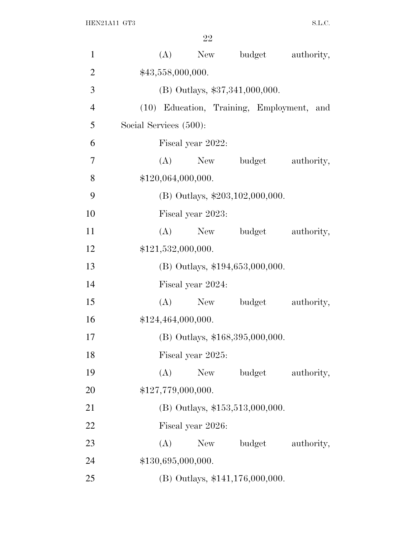| $\mathbf{1}$   | budget<br>(A)<br>New<br>authority,        |
|----------------|-------------------------------------------|
| $\overline{2}$ | \$43,558,000,000.                         |
| 3              | (B) Outlays, \$37,341,000,000.            |
| $\overline{4}$ | (10) Education, Training, Employment, and |
| 5              | Social Services (500):                    |
| 6              | Fiscal year 2022:                         |
| 7              | budget<br>$(A)$ New<br>authority,         |
| 8              | \$120,064,000,000.                        |
| 9              | (B) Outlays, \$203,102,000,000.           |
| 10             | Fiscal year 2023:                         |
| 11             | (A)<br>budget<br>authority,<br>New        |
| 12             | \$121,532,000,000.                        |
| 13             | (B) Outlays, \$194,653,000,000.           |
| 14             | Fiscal year 2024:                         |
| 15             | budget<br>(A)<br>New<br>authority,        |
| 16             | \$124,464,000,000.                        |
| 17             | (B) Outlays, \$168,395,000,000.           |
| 18             | Fiscal year 2025:                         |
| 19             | budget<br>(A)<br><b>New</b><br>authority, |
| 20             | \$127,779,000,000.                        |
| 21             | $(B)$ Outlays, \$153,513,000,000.         |
| 22             | Fiscal year 2026:                         |
| 23             | budget<br>(A)<br>New \,<br>authority,     |
| 24             | \$130,695,000,000.                        |
| 25             | (B) Outlays, \$141,176,000,000.           |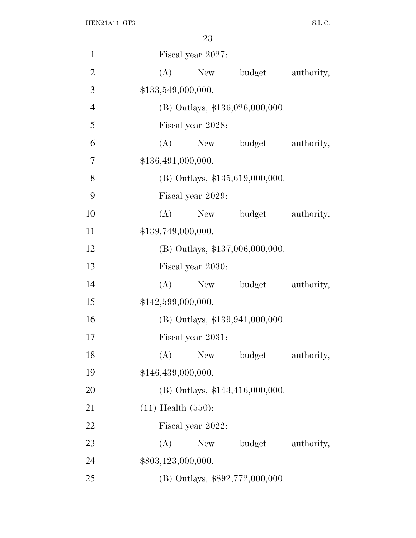| $\mathbf{1}$   | Fiscal year 2027:                         |
|----------------|-------------------------------------------|
| $\overline{2}$ | budget<br>(A)<br>New<br>authority,        |
| 3              | \$133,549,000,000.                        |
| $\overline{4}$ | $(B)$ Outlays, \$136,026,000,000.         |
| 5              | Fiscal year 2028:                         |
| 6              | (A)<br>budget<br>New<br>authority,        |
| 7              | \$136,491,000,000.                        |
| 8              | (B) Outlays, \$135,619,000,000.           |
| 9              | Fiscal year 2029:                         |
| 10             | (A)<br>New<br>budget<br>authority,        |
| 11             | \$139,749,000,000.                        |
| 12             | (B) Outlays, \$137,006,000,000.           |
| 13             | Fiscal year 2030:                         |
| 14             | (A)<br>New<br>budget<br>authority,        |
| 15             | \$142,599,000,000.                        |
| 16             | $(B)$ Outlays, \$139,941,000,000.         |
| 17             | Fiscal year 2031:                         |
| 18             | (A)<br><b>New</b><br>budget<br>authority, |
| 19             | \$146,439,000,000.                        |
| <b>20</b>      | (B) Outlays, $$143,416,000,000$ .         |
| 21             | $(11)$ Health $(550)$ :                   |
| 22             | Fiscal year 2022:                         |
| 23             | budget<br>(A)<br>New<br>authority,        |
| 24             | \$803,123,000,000.                        |
| 25             | (B) Outlays, \$892,772,000,000.           |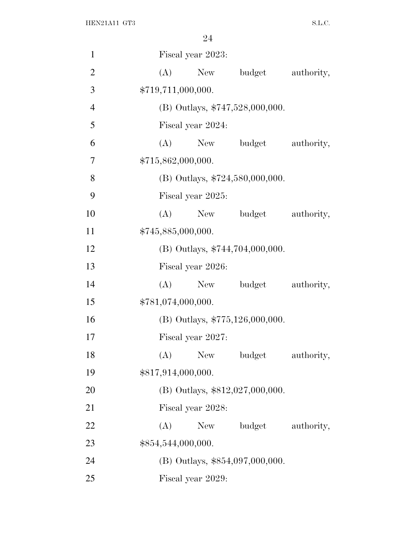| $\mathbf{1}$   | Fiscal year 2023:                         |
|----------------|-------------------------------------------|
| $\overline{2}$ | (A)<br>New<br>budget<br>authority,        |
| 3              | \$719,711,000,000.                        |
| $\overline{4}$ | (B) Outlays, \$747,528,000,000.           |
| 5              | Fiscal year 2024:                         |
| 6              | New budget<br>(A)<br>authority,           |
| 7              | \$715,862,000,000.                        |
| 8              | (B) Outlays, $$724,580,000,000$ .         |
| 9              | Fiscal year 2025:                         |
| 10             | New budget<br>authority,<br>(A)           |
| 11             | \$745,885,000,000.                        |
| 12             | (B) Outlays, \$744,704,000,000.           |
| 13             | Fiscal year 2026:                         |
| 14             | (A)<br>budget<br>authority,<br>New No.    |
| 15             | \$781,074,000,000.                        |
| 16             | (B) Outlays, $$775,126,000,000$ .         |
| 17             | Fiscal year 2027:                         |
| 18             | (A)<br><b>New</b><br>budget<br>authority, |
| 19             | \$817,914,000,000.                        |
| 20             | (B) Outlays, $$812,027,000,000$ .         |
| 21             | Fiscal year 2028:                         |
| 22             | budget<br>(A)<br>New<br>authority,        |
| 23             | \$854,544,000,000.                        |
| 24             | (B) Outlays, \$854,097,000,000.           |
| 25             | Fiscal year 2029:                         |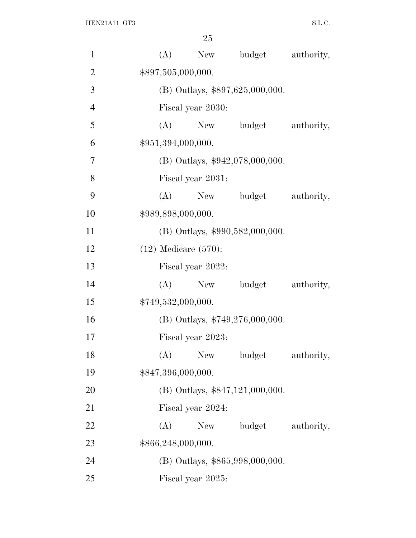| $\mathbf{1}$   | (A)<br>New budget<br>authority,           |  |
|----------------|-------------------------------------------|--|
| $\overline{2}$ | \$897,505,000,000.                        |  |
| 3              | (B) Outlays, \$897,625,000,000.           |  |
| $\overline{4}$ | Fiscal year 2030:                         |  |
| 5              | (A)<br>New<br>budget<br>authority,        |  |
| 6              | \$951,394,000,000.                        |  |
| 7              | (B) Outlays, $$942,078,000,000$ .         |  |
| 8              | Fiscal year 2031:                         |  |
| 9              | (A)<br>New<br>budget<br>authority,        |  |
| 10             | \$989,898,000,000.                        |  |
| 11             | (B) Outlays, \$990,582,000,000.           |  |
| 12             | $(12)$ Medicare $(570)$ :                 |  |
| 13             | Fiscal year 2022:                         |  |
| 14             | (A)<br>New<br>budget<br>authority,        |  |
| 15             | \$749,532,000,000.                        |  |
| 16             | (B) Outlays, $$749,276,000,000$ .         |  |
| 17             | Fiscal year 2023:                         |  |
| 18             | (A)<br><b>New</b><br>budget<br>authority, |  |
| 19             | \$847,396,000,000.                        |  |
| 20             | $(B)$ Outlays, \$847,121,000,000.         |  |
| 21             | Fiscal year 2024:                         |  |
| 22             | (A)<br>New<br>budget<br>authority,        |  |
| 23             | \$866,248,000,000.                        |  |
| 24             | (B) Outlays, \$865,998,000,000.           |  |
| 25             | Fiscal year 2025:                         |  |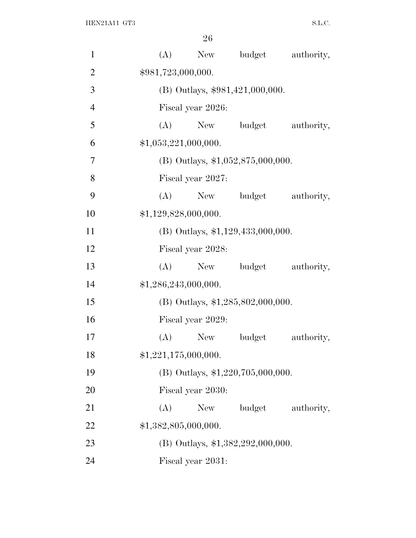| $\mathbf{1}$   | (A)<br>budget<br>authority,<br>New        |  |
|----------------|-------------------------------------------|--|
| $\overline{2}$ | \$981,723,000,000.                        |  |
| 3              | (B) Outlays, \$981,421,000,000.           |  |
| $\overline{4}$ | Fiscal year 2026:                         |  |
| 5              | (A)<br>budget<br>authority,<br>New        |  |
| 6              | \$1,053,221,000,000.                      |  |
| 7              | $(B)$ Outlays, \$1,052,875,000,000.       |  |
| 8              | Fiscal year 2027:                         |  |
| 9              | New budget<br>(A)<br>authority,           |  |
| 10             | \$1,129,828,000,000.                      |  |
| 11             | $(B)$ Outlays, \$1,129,433,000,000.       |  |
| 12             | Fiscal year 2028:                         |  |
| 13             | budget<br>authority,<br>(A)<br>New        |  |
| 14             | \$1,286,243,000,000.                      |  |
| 15             | (B) Outlays, $$1,285,802,000,000$ .       |  |
| 16             | Fiscal year 2029:                         |  |
| 17             | (A)<br>budget<br>authority,<br><b>New</b> |  |
| 18             | \$1,221,175,000,000.                      |  |
| 19             | (B) Outlays, \$1,220,705,000,000.         |  |
| 20             | Fiscal year 2030:                         |  |
| 21             | (A)<br>New<br>budget<br>authority,        |  |
| 22             | \$1,382,805,000,000.                      |  |
| 23             | (B) Outlays, $$1,382,292,000,000$ .       |  |
| 24             | Fiscal year 2031:                         |  |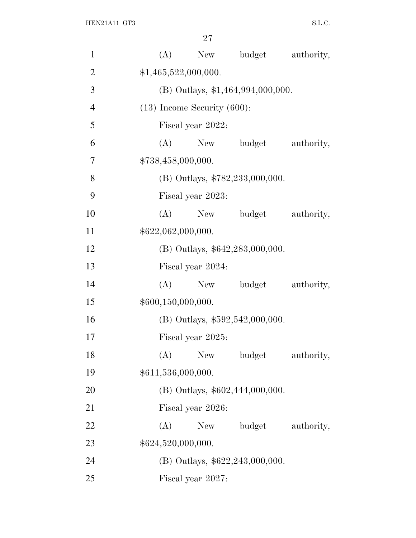| $\mathbf{1}$   |                                  |                   | (A) New budget                      | authority, |
|----------------|----------------------------------|-------------------|-------------------------------------|------------|
| $\overline{2}$ | \$1,465,522,000,000.             |                   |                                     |            |
| 3              |                                  |                   | $(B)$ Outlays, \$1,464,994,000,000. |            |
| $\overline{4}$ | $(13)$ Income Security $(600)$ : |                   |                                     |            |
| 5              |                                  | Fiscal year 2022: |                                     |            |
| 6              | (A)                              |                   | New budget                          | authority, |
| 7              | \$738,458,000,000.               |                   |                                     |            |
| 8              |                                  |                   | (B) Outlays, \$782,233,000,000.     |            |
| 9              |                                  | Fiscal year 2023: |                                     |            |
| 10             |                                  |                   | (A) New budget                      | authority, |
| 11             | \$622,062,000,000.               |                   |                                     |            |
| 12             |                                  |                   | (B) Outlays, \$642,283,000,000.     |            |
| 13             |                                  | Fiscal year 2024: |                                     |            |
| 14             | (A)                              | New               | budget                              | authority, |
| 15             | \$600,150,000,000.               |                   |                                     |            |
| 16             |                                  |                   | (B) Outlays, $$592,542,000,000$ .   |            |
| 17             |                                  | Fiscal year 2025: |                                     |            |
| 18             | (A)                              | New               | budget                              | authority, |
| 19             | \$611,536,000,000.               |                   |                                     |            |
| 20             |                                  |                   | (B) Outlays, \$602,444,000,000.     |            |
| 21             |                                  | Fiscal year 2026: |                                     |            |
| 22             | (A)                              | New               | budget                              | authority, |
| 23             | \$624,520,000,000.               |                   |                                     |            |
| 24             |                                  |                   | (B) Outlays, \$622,243,000,000.     |            |
| 25             |                                  | Fiscal year 2027: |                                     |            |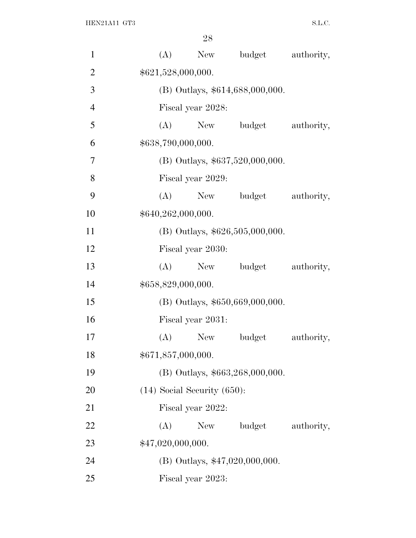| $\mathbf{1}$   | budget<br>(A)<br>New<br>authority,        |  |  |  |  |  |
|----------------|-------------------------------------------|--|--|--|--|--|
| $\overline{2}$ | \$621,528,000,000.                        |  |  |  |  |  |
| 3              | (B) Outlays, \$614,688,000,000.           |  |  |  |  |  |
| $\overline{4}$ | Fiscal year 2028:                         |  |  |  |  |  |
| 5              | (A)<br>budget<br>New<br>authority,        |  |  |  |  |  |
| 6              | \$638,790,000,000.                        |  |  |  |  |  |
| $\overline{7}$ | (B) Outlays, $$637,520,000,000$ .         |  |  |  |  |  |
| 8              | Fiscal year 2029:                         |  |  |  |  |  |
| 9              | (A)<br>budget<br>authority,<br>New        |  |  |  |  |  |
| 10             | \$640,262,000,000.                        |  |  |  |  |  |
| 11             | $(B)$ Outlays, \$626,505,000,000.         |  |  |  |  |  |
| 12             | Fiscal year 2030:                         |  |  |  |  |  |
| 13             | budget<br>(A)<br>New<br>authority,        |  |  |  |  |  |
| 14             | \$658,829,000,000.                        |  |  |  |  |  |
| 15             | (B) Outlays, \$650,669,000,000.           |  |  |  |  |  |
| 16             | Fiscal year 2031:                         |  |  |  |  |  |
| 17             | (A)<br><b>New</b><br>budget<br>authority, |  |  |  |  |  |
| 18             | \$671,857,000,000.                        |  |  |  |  |  |
| 19             | (B) Outlays, \$663,268,000,000.           |  |  |  |  |  |
| 20             | $(14)$ Social Security $(650)$ :          |  |  |  |  |  |
| 21             | Fiscal year 2022:                         |  |  |  |  |  |
| 22             | (A)<br>budget<br>New<br>authority,        |  |  |  |  |  |
| 23             | \$47,020,000,000.                         |  |  |  |  |  |
| 24             | $(B)$ Outlays, \$47,020,000,000.          |  |  |  |  |  |
| 25             | Fiscal year 2023:                         |  |  |  |  |  |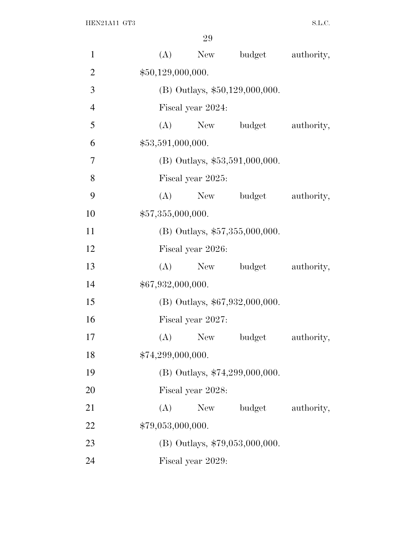| $\mathbf{1}$   | (A)               |                                  | New budget                       | authority, |  |  |  |
|----------------|-------------------|----------------------------------|----------------------------------|------------|--|--|--|
| $\overline{2}$ |                   | \$50,129,000,000.                |                                  |            |  |  |  |
| 3              |                   | $(B)$ Outlays, \$50,129,000,000. |                                  |            |  |  |  |
| $\overline{4}$ |                   | Fiscal year 2024:                |                                  |            |  |  |  |
| 5              |                   |                                  | (A) New budget                   | authority, |  |  |  |
| 6              | \$53,591,000,000. |                                  |                                  |            |  |  |  |
| 7              |                   |                                  | $(B)$ Outlays, \$53,591,000,000. |            |  |  |  |
| 8              |                   | Fiscal year 2025:                |                                  |            |  |  |  |
| 9              | (A)               |                                  | New budget                       | authority, |  |  |  |
| 10             | \$57,355,000,000. |                                  |                                  |            |  |  |  |
| 11             |                   |                                  | (B) Outlays, \$57,355,000,000.   |            |  |  |  |
| 12             |                   | Fiscal year 2026:                |                                  |            |  |  |  |
| 13             | (A)               |                                  | New budget                       | authority, |  |  |  |
| 14             |                   | \$67,932,000,000.                |                                  |            |  |  |  |
| 15             |                   |                                  | (B) Outlays, \$67,932,000,000.   |            |  |  |  |
| 16             |                   | Fiscal year 2027:                |                                  |            |  |  |  |
| 17             | (A)               | New \,                           | budget                           | authority, |  |  |  |
| 18             |                   | \$74,299,000,000.                |                                  |            |  |  |  |
| 19             |                   | (B) Outlays, \$74,299,000,000.   |                                  |            |  |  |  |
| <b>20</b>      |                   | Fiscal year 2028:                |                                  |            |  |  |  |
| 21             | (A)               | New                              | budget                           | authority, |  |  |  |
| 22             |                   | \$79,053,000,000.                |                                  |            |  |  |  |
| 23             |                   | (B) Outlays, \$79,053,000,000.   |                                  |            |  |  |  |
| 24             |                   | Fiscal year 2029:                |                                  |            |  |  |  |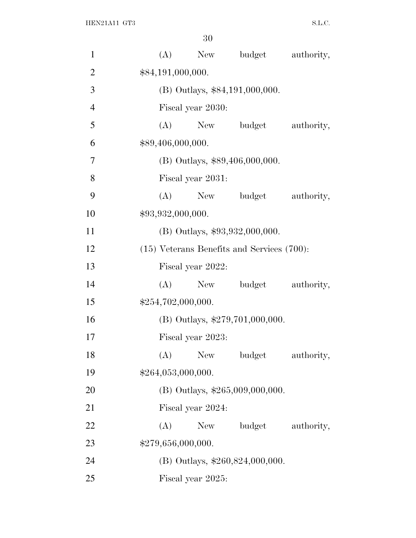| $\mathbf{1}$   | (A)<br>New<br>budget<br>authority,              |  |  |  |  |  |
|----------------|-------------------------------------------------|--|--|--|--|--|
| $\overline{2}$ | \$84,191,000,000.                               |  |  |  |  |  |
| 3              | (B) Outlays, \$84,191,000,000.                  |  |  |  |  |  |
| $\overline{4}$ | Fiscal year 2030:                               |  |  |  |  |  |
| 5              | (A)<br>New budget<br>authority,                 |  |  |  |  |  |
| 6              | \$89,406,000,000.                               |  |  |  |  |  |
| 7              | (B) Outlays, \$89,406,000,000.                  |  |  |  |  |  |
| 8              | Fiscal year 2031:                               |  |  |  |  |  |
| 9              | (A)<br>New<br>budget<br>authority,              |  |  |  |  |  |
| 10             | \$93,932,000,000.                               |  |  |  |  |  |
| 11             | (B) Outlays, \$93,932,000,000.                  |  |  |  |  |  |
| 12             | $(15)$ Veterans Benefits and Services $(700)$ : |  |  |  |  |  |
| 13             | Fiscal year 2022:                               |  |  |  |  |  |
| 14             | (A)<br>New<br>budget<br>authority,              |  |  |  |  |  |
| 15             | \$254,702,000,000.                              |  |  |  |  |  |
| 16             | (B) Outlays, \$279,701,000,000.                 |  |  |  |  |  |
| 17             | Fiscal year 2023:                               |  |  |  |  |  |
| 18             | (A)<br><b>New</b><br>budget<br>authority,       |  |  |  |  |  |
| 19             | \$264,053,000,000.                              |  |  |  |  |  |
| <b>20</b>      | (B) Outlays, \$265,009,000,000.                 |  |  |  |  |  |
| 21             | Fiscal year 2024:                               |  |  |  |  |  |
| 22             | budget<br>(A)<br>New<br>authority,              |  |  |  |  |  |
| 23             | \$279,656,000,000.                              |  |  |  |  |  |
| 24             | (B) Outlays, \$260,824,000,000.                 |  |  |  |  |  |
| 25             | Fiscal year 2025:                               |  |  |  |  |  |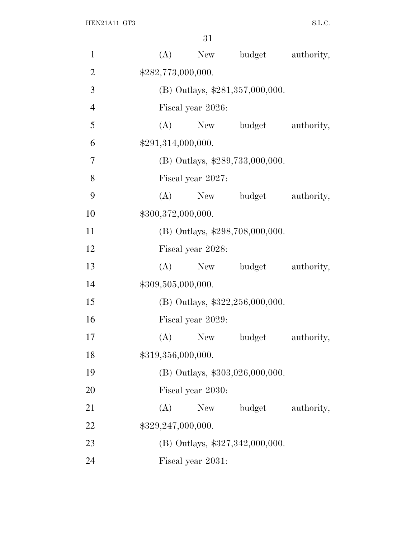| $\mathbf{1}$   | (A)                | New                             | budget                          | authority, |  |  |
|----------------|--------------------|---------------------------------|---------------------------------|------------|--|--|
| $\overline{2}$ |                    | \$282,773,000,000.              |                                 |            |  |  |
| 3              |                    | (B) Outlays, \$281,357,000,000. |                                 |            |  |  |
| $\overline{4}$ |                    | Fiscal year 2026:               |                                 |            |  |  |
| 5              | (A)                |                                 | New budget                      | authority, |  |  |
| 6              | \$291,314,000,000. |                                 |                                 |            |  |  |
| 7              |                    |                                 | (B) Outlays, \$289,733,000,000. |            |  |  |
| 8              |                    | Fiscal year 2027:               |                                 |            |  |  |
| 9              | (A)                | New                             | budget                          | authority, |  |  |
| 10             | \$300,372,000,000. |                                 |                                 |            |  |  |
| 11             |                    | (B) Outlays, \$298,708,000,000. |                                 |            |  |  |
| 12             |                    | Fiscal year 2028:               |                                 |            |  |  |
| 13             | (A)                |                                 | New budget                      | authority, |  |  |
| 14             |                    | \$309,505,000,000.              |                                 |            |  |  |
| 15             |                    |                                 | (B) Outlays, \$322,256,000,000. |            |  |  |
| 16             |                    | Fiscal year 2029:               |                                 |            |  |  |
| 17             | (A)                | New                             | budget                          | authority, |  |  |
| 18             | \$319,356,000,000. |                                 |                                 |            |  |  |
| 19             |                    |                                 | (B) Outlays, \$303,026,000,000. |            |  |  |
| 20             |                    | Fiscal year 2030:               |                                 |            |  |  |
| 21             | (A)                | New                             | budget                          | authority, |  |  |
| 22             |                    | \$329,247,000,000.              |                                 |            |  |  |
| 23             |                    |                                 | (B) Outlays, \$327,342,000,000. |            |  |  |
| 24             |                    | Fiscal year 2031:               |                                 |            |  |  |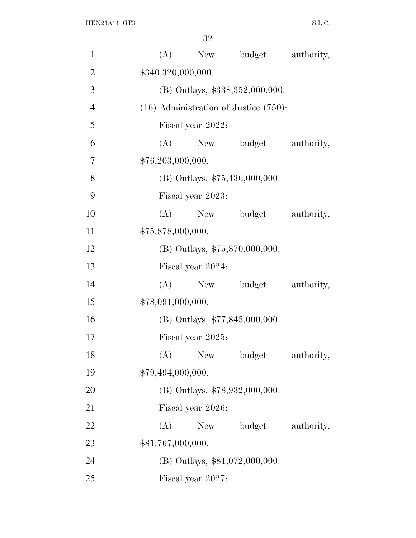| $\mathbf{1}$   | (A)                                        | New                             | budget                         | authority, |  |  |
|----------------|--------------------------------------------|---------------------------------|--------------------------------|------------|--|--|
| $\overline{2}$ |                                            | \$340,320,000,000.              |                                |            |  |  |
| 3              |                                            | (B) Outlays, \$338,352,000,000. |                                |            |  |  |
| $\overline{4}$ | $(16)$ Administration of Justice $(750)$ : |                                 |                                |            |  |  |
| 5              | Fiscal year 2022:                          |                                 |                                |            |  |  |
| 6              | (A)                                        |                                 | New budget                     | authority, |  |  |
| 7              | \$76,203,000,000.                          |                                 |                                |            |  |  |
| 8              |                                            |                                 | (B) Outlays, \$75,436,000,000. |            |  |  |
| 9              | Fiscal year 2023:                          |                                 |                                |            |  |  |
| 10             | (A)                                        | New                             | budget                         | authority, |  |  |
| 11             | \$75,878,000,000.                          |                                 |                                |            |  |  |
| 12             |                                            |                                 | (B) Outlays, \$75,870,000,000. |            |  |  |
| 13             | Fiscal year 2024:                          |                                 |                                |            |  |  |
| 14             | (A)                                        |                                 | New budget                     | authority, |  |  |
| 15             |                                            | \$78,091,000,000.               |                                |            |  |  |
| 16             |                                            |                                 | (B) Outlays, \$77,845,000,000. |            |  |  |
| 17             | Fiscal year 2025:                          |                                 |                                |            |  |  |
| 18             |                                            |                                 | (A) New budget                 | authority, |  |  |
| 19             | \$79,494,000,000.                          |                                 |                                |            |  |  |
| 20             |                                            | (B) Outlays, \$78,932,000,000.  |                                |            |  |  |
| 21             |                                            | Fiscal year 2026:               |                                |            |  |  |
| 22             | (A)                                        | New                             | budget                         | authority, |  |  |
| 23             |                                            | \$81,767,000,000.               |                                |            |  |  |
| 24             |                                            | (B) Outlays, \$81,072,000,000.  |                                |            |  |  |
| 25             |                                            | Fiscal year 2027:               |                                |            |  |  |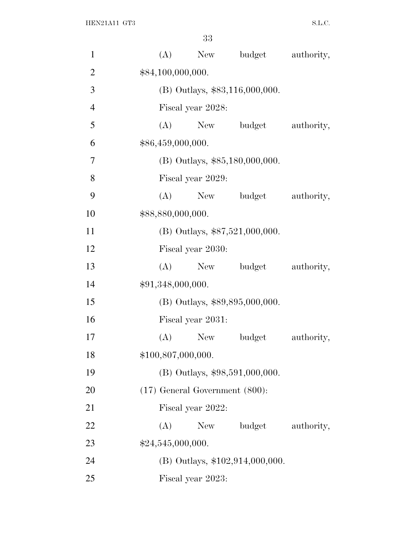| $\mathbf{1}$   | (A)<br>New budget<br>authority,     |  |  |  |  |  |
|----------------|-------------------------------------|--|--|--|--|--|
| $\overline{2}$ | \$84,100,000,000.                   |  |  |  |  |  |
| 3              | (B) Outlays, \$83,116,000,000.      |  |  |  |  |  |
| $\overline{4}$ | Fiscal year 2028:                   |  |  |  |  |  |
| 5              | New budget<br>(A)<br>authority,     |  |  |  |  |  |
| 6              | \$86,459,000,000.                   |  |  |  |  |  |
| 7              | (B) Outlays, \$85,180,000,000.      |  |  |  |  |  |
| 8              | Fiscal year 2029:                   |  |  |  |  |  |
| 9              | (A)<br>New<br>budget<br>authority,  |  |  |  |  |  |
| 10             | \$88,880,000,000.                   |  |  |  |  |  |
| 11             | (B) Outlays, $$87,521,000,000$ .    |  |  |  |  |  |
| 12             | Fiscal year 2030:                   |  |  |  |  |  |
| 13             | (A)<br>New budget<br>authority,     |  |  |  |  |  |
| 14             | \$91,348,000,000.                   |  |  |  |  |  |
| 15             | (B) Outlays, \$89,895,000,000.      |  |  |  |  |  |
| 16             | Fiscal year 2031:                   |  |  |  |  |  |
| 17             | (A)<br>budget<br>authority,<br>New  |  |  |  |  |  |
| 18             | \$100,807,000,000.                  |  |  |  |  |  |
| 19             | (B) Outlays, \$98,591,000,000.      |  |  |  |  |  |
| 20             | $(17)$ General Government $(800)$ : |  |  |  |  |  |
| 21             | Fiscal year 2022:                   |  |  |  |  |  |
| 22             | budget<br>(A)<br>New<br>authority,  |  |  |  |  |  |
| 23             | \$24,545,000,000.                   |  |  |  |  |  |
| 24             | (B) Outlays, \$102,914,000,000.     |  |  |  |  |  |
| 25             | Fiscal year 2023:                   |  |  |  |  |  |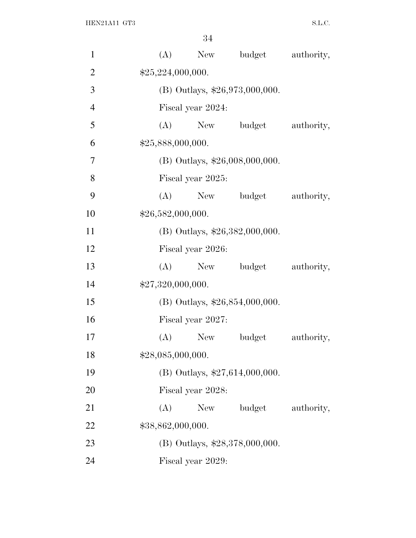| $\mathbf{1}$   |     | (A)<br>New                       | budget                           | authority, |  |  |
|----------------|-----|----------------------------------|----------------------------------|------------|--|--|
| $\overline{2}$ |     | \$25,224,000,000.                |                                  |            |  |  |
| 3              |     | (B) Outlays, \$26,973,000,000.   |                                  |            |  |  |
| $\overline{4}$ |     | Fiscal year 2024:                |                                  |            |  |  |
| 5              |     | $(A)$ New                        | budget                           | authority, |  |  |
| 6              |     | \$25,888,000,000.                |                                  |            |  |  |
| 7              |     |                                  | $(B)$ Outlays, \$26,008,000,000. |            |  |  |
| 8              |     | Fiscal year 2025:                |                                  |            |  |  |
| 9              | (A) | New                              | budget                           | authority, |  |  |
| 10             |     | \$26,582,000,000.                |                                  |            |  |  |
| 11             |     |                                  | (B) Outlays, $$26,382,000,000$ . |            |  |  |
| 12             |     | Fiscal year 2026:                |                                  |            |  |  |
| 13             | (A) |                                  | New budget                       | authority, |  |  |
| 14             |     | \$27,320,000,000.                |                                  |            |  |  |
| 15             |     |                                  | (B) Outlays, \$26,854,000,000.   |            |  |  |
| 16             |     | Fiscal year 2027:                |                                  |            |  |  |
| 17             | (A) | New                              | budget                           | authority, |  |  |
| 18             |     | \$28,085,000,000.                |                                  |            |  |  |
| 19             |     | $(B)$ Outlays, \$27,614,000,000. |                                  |            |  |  |
| 20             |     | Fiscal year 2028:                |                                  |            |  |  |
| 21             | (A) | New                              | budget                           | authority, |  |  |
| 22             |     | \$38,862,000,000.                |                                  |            |  |  |
| 23             |     | (B) Outlays, \$28,378,000,000.   |                                  |            |  |  |
| 24             |     | Fiscal year 2029:                |                                  |            |  |  |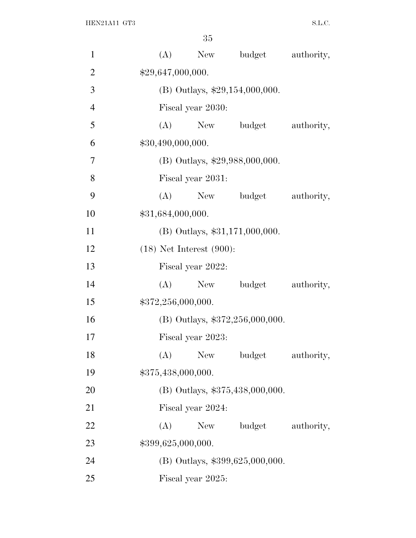| $\mathbf{1}$   | (A)<br>New<br>budget              | authority,                       |  |  |  |  |
|----------------|-----------------------------------|----------------------------------|--|--|--|--|
| $\overline{2}$ | \$29,647,000,000.                 |                                  |  |  |  |  |
| 3              |                                   | $(B)$ Outlays, \$29,154,000,000. |  |  |  |  |
| $\overline{4}$ | Fiscal year 2030:                 |                                  |  |  |  |  |
| 5              | (A)<br>New budget                 | authority,                       |  |  |  |  |
| 6              | \$30,490,000,000.                 |                                  |  |  |  |  |
| 7              | (B) Outlays, \$29,988,000,000.    |                                  |  |  |  |  |
| 8              | Fiscal year 2031:                 |                                  |  |  |  |  |
| 9              | (A)<br>budget<br>New              | authority,                       |  |  |  |  |
| 10             | \$31,684,000,000.                 |                                  |  |  |  |  |
| 11             | $(B)$ Outlays, \$31,171,000,000.  |                                  |  |  |  |  |
| 12             | $(18)$ Net Interest $(900)$ :     |                                  |  |  |  |  |
| 13             | Fiscal year 2022:                 |                                  |  |  |  |  |
| 14             | (A)<br>New<br>budget              | authority,                       |  |  |  |  |
| 15             | \$372,256,000,000.                |                                  |  |  |  |  |
| 16             | (B) Outlays, $$372,256,000,000$ . |                                  |  |  |  |  |
| 17             | Fiscal year 2023:                 |                                  |  |  |  |  |
| 18             | <b>New</b><br>(A)<br>budget       | authority,                       |  |  |  |  |
| 19             | \$375,438,000,000.                |                                  |  |  |  |  |
| 20             |                                   | (B) Outlays, \$375,438,000,000.  |  |  |  |  |
| 21             | Fiscal year 2024:                 |                                  |  |  |  |  |
| 22             | (A)<br>budget<br>New              | authority,                       |  |  |  |  |
| 23             | \$399,625,000,000.                |                                  |  |  |  |  |
| 24             |                                   | (B) Outlays, \$399,625,000,000.  |  |  |  |  |
| 25             | Fiscal year 2025:                 |                                  |  |  |  |  |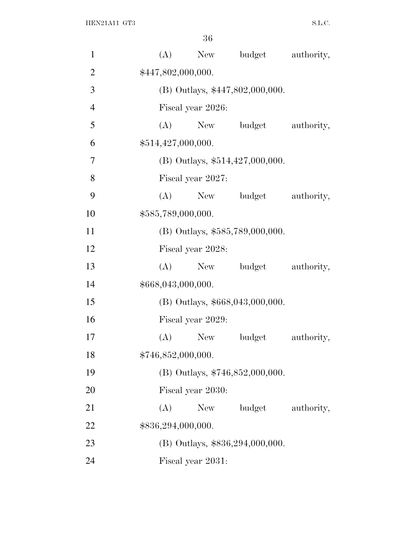| $\mathbf{1}$   | budget<br>(A)<br>New<br>authority, |  |  |  |  |  |
|----------------|------------------------------------|--|--|--|--|--|
| $\mathbf{2}$   | \$447,802,000,000.                 |  |  |  |  |  |
| 3              | (B) Outlays, \$447,802,000,000.    |  |  |  |  |  |
| $\overline{4}$ | Fiscal year 2026:                  |  |  |  |  |  |
| 5              | (A)<br>budget<br>authority,<br>New |  |  |  |  |  |
| 6              | \$514,427,000,000.                 |  |  |  |  |  |
| 7              | (B) Outlays, $$514,427,000,000$ .  |  |  |  |  |  |
| 8              | Fiscal year 2027:                  |  |  |  |  |  |
| 9              | (A)<br>New<br>budget<br>authority, |  |  |  |  |  |
| 10             | \$585,789,000,000.                 |  |  |  |  |  |
| 11             | (B) Outlays, \$585,789,000,000.    |  |  |  |  |  |
| 12             | Fiscal year 2028:                  |  |  |  |  |  |
| 13             | budget<br>(A)<br>authority,<br>New |  |  |  |  |  |
| 14             | \$668,043,000,000.                 |  |  |  |  |  |
| 15             | (B) Outlays, \$668,043,000,000.    |  |  |  |  |  |
| 16             | Fiscal year 2029:                  |  |  |  |  |  |
| 17             | (A)<br>authority,<br>New<br>budget |  |  |  |  |  |
| 18             | \$746,852,000,000.                 |  |  |  |  |  |
| 19             | (B) Outlays, \$746,852,000,000.    |  |  |  |  |  |
| 20             | Fiscal year 2030:                  |  |  |  |  |  |
| 21             | budget<br>authority,<br>(A)<br>New |  |  |  |  |  |
| 22             | \$836,294,000,000.                 |  |  |  |  |  |
| 23             | (B) Outlays, \$836,294,000,000.    |  |  |  |  |  |
| 24             | Fiscal year 2031:                  |  |  |  |  |  |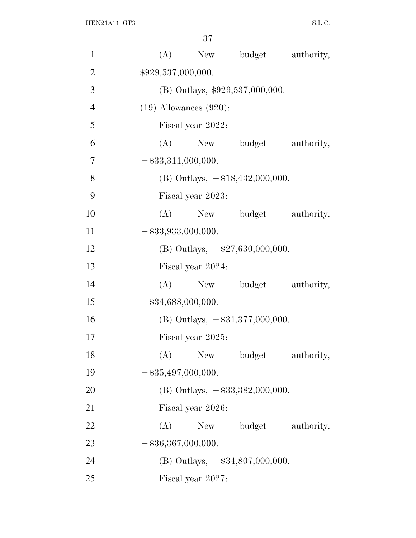| $\mathbf{1}$   | (A)                         | New                             |                                    | budget authority,         |  |  |
|----------------|-----------------------------|---------------------------------|------------------------------------|---------------------------|--|--|
| $\mathbf{2}$   |                             | \$929,537,000,000.              |                                    |                           |  |  |
| 3              |                             | (B) Outlays, \$929,537,000,000. |                                    |                           |  |  |
| $\overline{4}$ | $(19)$ Allowances $(920)$ : |                                 |                                    |                           |  |  |
| 5              |                             | Fiscal year 2022:               |                                    |                           |  |  |
| 6              |                             |                                 | (A) New budget                     | authority,                |  |  |
| 7              | $-$ \$33,311,000,000.       |                                 |                                    |                           |  |  |
| 8              |                             |                                 | (B) Outlays, $-\$18,432,000,000$ . |                           |  |  |
| 9              |                             | Fiscal year 2023:               |                                    |                           |  |  |
| 10             | (A)                         |                                 | New budget                         | authority,                |  |  |
| 11             | $-$ \$33,933,000,000.       |                                 |                                    |                           |  |  |
| 12             |                             |                                 | (B) Outlays, $-\$27,630,000,000$ . |                           |  |  |
| 13             |                             | Fiscal year 2024:               |                                    |                           |  |  |
| 14             | (A)                         |                                 |                                    | New budget authority,     |  |  |
| 15             |                             | $-$ \$34,688,000,000.           |                                    |                           |  |  |
| 16             |                             |                                 | (B) Outlays, $-$ \$31,377,000,000. |                           |  |  |
| 17             |                             | Fiscal year 2025:               |                                    |                           |  |  |
| 18             |                             |                                 |                                    | (A) New budget authority, |  |  |
| 19             | $-$ \$35,497,000,000.       |                                 |                                    |                           |  |  |
| <b>20</b>      |                             |                                 | (B) Outlays, $-\$33,382,000,000$ . |                           |  |  |
| 21             |                             | Fiscal year 2026:               |                                    |                           |  |  |
| 22             | (A)                         |                                 | New budget                         | authority,                |  |  |
| 23             | $-$ \$36,367,000,000.       |                                 |                                    |                           |  |  |
| 24             |                             |                                 | (B) Outlays, $-\$34,807,000,000$ . |                           |  |  |
| 25             |                             | Fiscal year 2027:               |                                    |                           |  |  |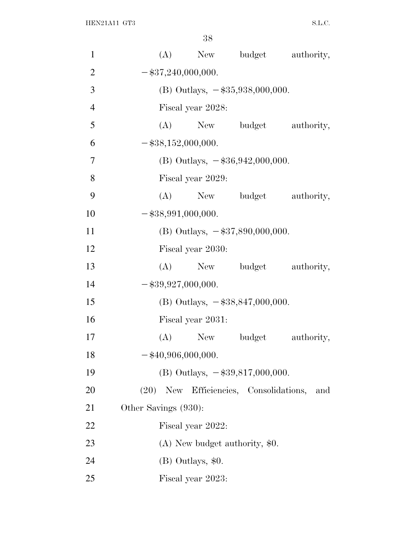| $\mathbf{1}$   | (A) New budget                               | authority,                         |  |  |  |
|----------------|----------------------------------------------|------------------------------------|--|--|--|
| $\overline{2}$ | $-$ \$37,240,000,000.                        |                                    |  |  |  |
| 3              |                                              | (B) Outlays, $-\$35,938,000,000$ . |  |  |  |
| $\overline{4}$ | Fiscal year 2028:                            |                                    |  |  |  |
| 5              | (A) New budget                               | authority,                         |  |  |  |
| 6              | $-$ \$38,152,000,000.                        |                                    |  |  |  |
| 7              | (B) Outlays, $-\$36,942,000,000$ .           |                                    |  |  |  |
| 8              | Fiscal year 2029:                            |                                    |  |  |  |
| 9              | (A)<br>New budget                            | authority,                         |  |  |  |
| 10             | $-$ \$38,991,000,000.                        |                                    |  |  |  |
| 11             | (B) Outlays, $-\$37,890,000,000$ .           |                                    |  |  |  |
| 12             | Fiscal year 2030:                            |                                    |  |  |  |
| 13             | (A) New budget                               | authority,                         |  |  |  |
| 14             | $-$ \$39,927,000,000.                        |                                    |  |  |  |
| 15             | (B) Outlays, $-\$38,847,000,000$ .           |                                    |  |  |  |
| 16             | Fiscal year 2031:                            |                                    |  |  |  |
| 17             | (A)<br>New budget                            | authority,                         |  |  |  |
| 18             | $-$ \$40,906,000,000.                        |                                    |  |  |  |
| 19             | (B) Outlays, $-\$39,817,000,000$ .           |                                    |  |  |  |
| 20             | Efficiencies, Consolidations,<br>(20)<br>New | and                                |  |  |  |
| 21             | Other Savings (930):                         |                                    |  |  |  |
| 22             | Fiscal year 2022:                            |                                    |  |  |  |
| 23             |                                              | $(A)$ New budget authority, \$0.   |  |  |  |
| 24             | (B) Outlays, \$0.                            |                                    |  |  |  |
| 25             | Fiscal year 2023:                            |                                    |  |  |  |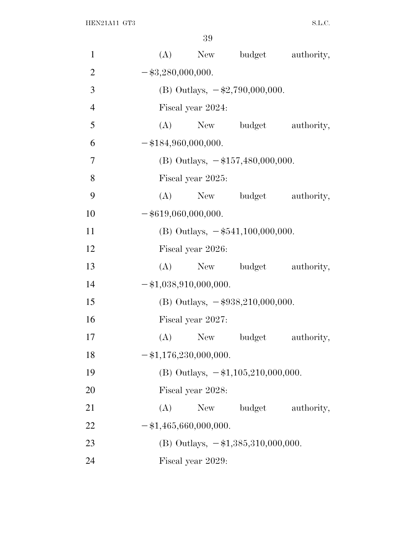| $\mathbf{1}$   |                        |                                       | (A) New budget                            | authority, |  |  |
|----------------|------------------------|---------------------------------------|-------------------------------------------|------------|--|--|
| $\overline{2}$ |                        | $-$ \$3,280,000,000.                  |                                           |            |  |  |
| 3              |                        | (B) Outlays, $-\$2,790,000,000$ .     |                                           |            |  |  |
| $\overline{4}$ | Fiscal year 2024:      |                                       |                                           |            |  |  |
| 5              | (A)                    |                                       | New budget authority,                     |            |  |  |
| 6              | $-$ \$184,960,000,000. |                                       |                                           |            |  |  |
| 7              |                        |                                       | (B) Outlays, $-\$157,480,000,000$ .       |            |  |  |
| $8\,$          | Fiscal year 2025:      |                                       |                                           |            |  |  |
| 9              | (A)                    |                                       | New budget authority,                     |            |  |  |
| 10             | $-$ \$619,060,000,000. |                                       |                                           |            |  |  |
| 11             |                        | (B) Outlays, $-\$541,100,000,000$ .   |                                           |            |  |  |
| 12             | Fiscal year 2026:      |                                       |                                           |            |  |  |
| 13             |                        |                                       | (A) New budget                            | authority, |  |  |
| 14             |                        | $-\frac{1038,910,000,000}{5000}$      |                                           |            |  |  |
| 15             |                        |                                       | (B) Outlays, $-\$938,\!210,\!000,\!000$ . |            |  |  |
| 16             | Fiscal year 2027:      |                                       |                                           |            |  |  |
| 17             | (A)                    |                                       | New budget                                | authority, |  |  |
| 18             |                        | $-\frac{11,176,230,000,000}{$         |                                           |            |  |  |
| 19             |                        | (B) Outlays, $-\$1,105,210,000,000$ . |                                           |            |  |  |
| 20             | Fiscal year 2028:      |                                       |                                           |            |  |  |
| 21             | (A)                    | New                                   | budget                                    | authority, |  |  |
| 22             |                        | $-$ \$1,465,660,000,000.              |                                           |            |  |  |
| 23             |                        | (B) Outlays, $-\$1,385,310,000,000$ . |                                           |            |  |  |
| 24             | Fiscal year 2029:      |                                       |                                           |            |  |  |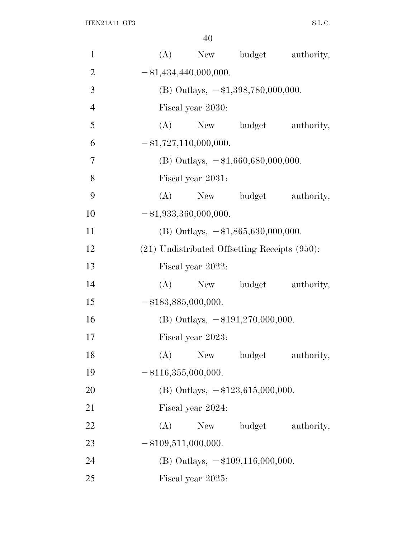| $\mathbf{1}$   | (A)<br>New budget                                  | authority, |
|----------------|----------------------------------------------------|------------|
| $\overline{2}$ | $-$ \$1,434,440,000,000.                           |            |
| 3              | (B) Outlays, $-\$1,398,780,000,000$ .              |            |
| $\overline{4}$ | Fiscal year 2030:                                  |            |
| 5              | (A) New budget                                     | authority, |
| 6              | $-\frac{1}{3}$ ,727,110,000,000.                   |            |
| 7              | (B) Outlays, $-\$1,660,680,000,000$ .              |            |
| 8              | Fiscal year 2031:                                  |            |
| 9              | (A)<br>New budget                                  | authority, |
| 10             | $-$ \$1,933,360,000,000.                           |            |
| 11             | (B) Outlays, $-\$1,865,630,000,000$ .              |            |
| 12             | $(21)$ Undistributed Offsetting Receipts $(950)$ : |            |
| 13             | Fiscal year 2022:                                  |            |
| 14             | (A)<br>New budget                                  | authority, |
| 15             | $-\$183,885,000,000.$                              |            |
| 16             | (B) Outlays, $-\$191,\!270,\!000,\!000$ .          |            |
| 17             | Fiscal year 2023:                                  |            |
| 18             | (A)<br>New<br>budget                               | authority, |
| 19             | $-\$116,355,000,000.$                              |            |
| 20             | (B) Outlays, $-\$123,615,000,000$ .                |            |
| 21             | Fiscal year 2024:                                  |            |
| 22             | (A)<br>New<br>budget                               | authority, |
| 23             | $-\$109,511,000,000.$                              |            |
| 24             | (B) Outlays, $-\$109,116,000,000$ .                |            |
| 25             | Fiscal year 2025:                                  |            |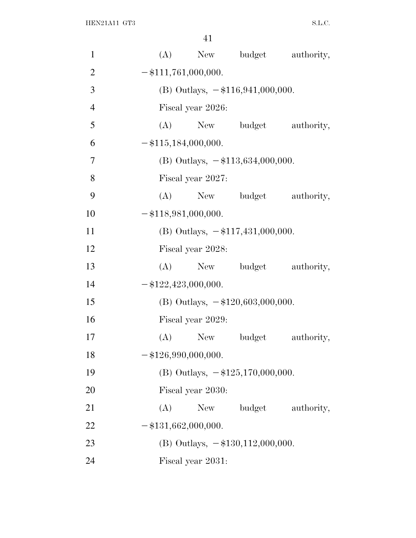| $\mathbf{1}$   | (A)                    |                   |                                     | New budget authority,     |
|----------------|------------------------|-------------------|-------------------------------------|---------------------------|
| $\overline{2}$ | $-\$111,761,000,000.$  |                   |                                     |                           |
| 3              |                        |                   | (B) Outlays, $-\$116,941,000,000$ . |                           |
| $\overline{4}$ |                        | Fiscal year 2026: |                                     |                           |
| 5              |                        |                   |                                     | (A) New budget authority, |
| 6              | $-$ \$115,184,000,000. |                   |                                     |                           |
| 7              |                        |                   | (B) Outlays, $-\$113,634,000,000$ . |                           |
| 8              |                        | Fiscal year 2027: |                                     |                           |
| 9              |                        |                   |                                     | (A) New budget authority, |
| 10             | $-$ \$118,981,000,000. |                   |                                     |                           |
| 11             |                        |                   | (B) Outlays, $-\$117,431,000,000$ . |                           |
| 12             |                        | Fiscal year 2028: |                                     |                           |
| 13             | (A)                    |                   |                                     | New budget authority,     |
| 14             | $-$ \$122,423,000,000. |                   |                                     |                           |
| 15             |                        |                   | (B) Outlays, $-\$120,603,000,000$ . |                           |
| 16             |                        | Fiscal year 2029: |                                     |                           |
| 17             |                        |                   | (A) New budget                      | authority,                |
| 18             | $-$ \$126,990,000,000. |                   |                                     |                           |
| 19             |                        |                   | (B) Outlays, $-\$125,170,000,000$ . |                           |
| 20             |                        | Fiscal year 2030: |                                     |                           |
| 21             | (A)                    | New               | budget                              | authority,                |
| 22             | $-$ \$131,662,000,000. |                   |                                     |                           |
| 23             |                        |                   | (B) Outlays, $-\$130,112,000,000$ . |                           |
| 24             |                        | Fiscal year 2031: |                                     |                           |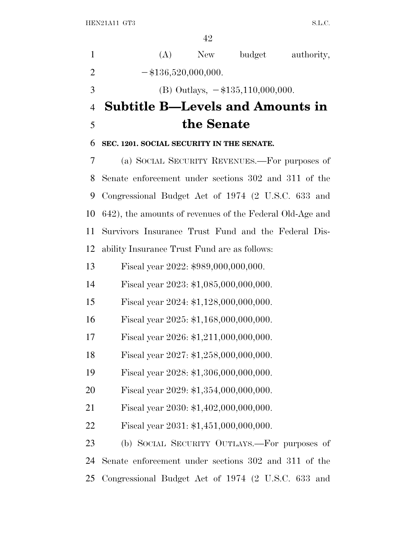|                | ŦΖ                                                       |
|----------------|----------------------------------------------------------|
| $\mathbf{1}$   | (A)<br>New<br>budget<br>authority,                       |
| $\mathbf{2}$   | $-$ \$136,520,000,000.                                   |
| 3              | (B) Outlays, $-\$135,110,000,000$ .                      |
| $\overline{4}$ | <b>Subtitle B—Levels and Amounts in</b>                  |
| 5              | the Senate                                               |
| 6              | SEC. 1201. SOCIAL SECURITY IN THE SENATE.                |
| 7              | (a) SOCIAL SECURITY REVENUES.—For purposes of            |
| 8              | Senate enforcement under sections 302 and 311 of the     |
| 9              | Congressional Budget Act of 1974 (2 U.S.C. 633 and       |
| 10             | 642), the amounts of revenues of the Federal Old-Age and |
| 11             | Survivors Insurance Trust Fund and the Federal Dis-      |
| 12             | ability Insurance Trust Fund are as follows:             |
| 13             | Fiscal year 2022: \$989,000,000,000.                     |
| 14             | Fiscal year $2023: $1,085,000,000,000$ .                 |
| 15             | Fiscal year 2024: \$1,128,000,000,000.                   |
| 16             | Fiscal year 2025: \$1,168,000,000,000.                   |
| 17             | Fiscal year 2026: \$1,211,000,000,000.                   |
| 18             | Fiscal year 2027: \$1,258,000,000,000.                   |
| 19             | Fiscal year 2028: \$1,306,000,000,000.                   |
| 20             | Fiscal year 2029: \$1,354,000,000,000.                   |
| 21             | Fiscal year 2030: \$1,402,000,000,000.                   |
| 22             | Fiscal year 2031: \$1,451,000,000,000.                   |
| 23             | (b) SOCIAL SECURITY OUTLAYS.—For purposes of             |
| 24             | Senate enforcement under sections 302 and 311 of the     |
| 25             | Congressional Budget Act of 1974 (2 U.S.C. 633 and       |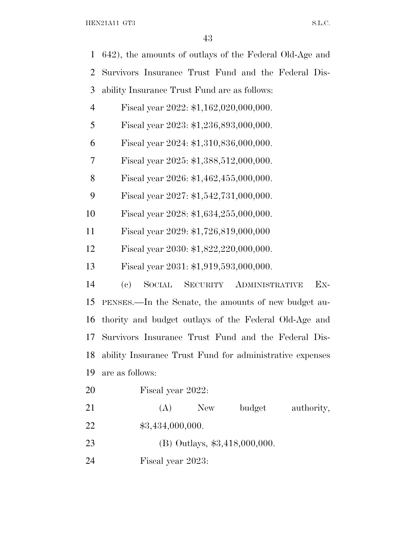HEN21A11 GT3 S.L.C.

| $\mathbf{1}$   | 642), the amounts of outlays of the Federal Old-Age and                   |
|----------------|---------------------------------------------------------------------------|
| $\overline{2}$ | Survivors Insurance Trust Fund and the Federal Dis-                       |
| 3              | ability Insurance Trust Fund are as follows:                              |
| $\overline{4}$ | Fiscal year 2022: \$1,162,020,000,000.                                    |
| 5              | Fiscal year 2023: \$1,236,893,000,000.                                    |
| 6              | Fiscal year 2024: \$1,310,836,000,000.                                    |
| 7              | Fiscal year 2025: \$1,388,512,000,000.                                    |
| 8              | Fiscal year 2026: $$1,462,455,000,000$ .                                  |
| 9              | Fiscal year 2027: \$1,542,731,000,000.                                    |
| 10             | Fiscal year 2028: \$1,634,255,000,000.                                    |
| 11             | Fiscal year 2029: \$1,726,819,000,000                                     |
| 12             | Fiscal year 2030: \$1,822,220,000,000.                                    |
| 13             | Fiscal year 2031: \$1,919,593,000,000.                                    |
| 14             | SECURITY<br>Ex-<br>$\left( \mathrm{e}\right)$<br>SOCIAL<br>ADMINISTRATIVE |
| 15             | PENSES.—In the Senate, the amounts of new budget au-                      |
| 16             | thority and budget outlays of the Federal Old-Age and                     |
| 17             | Survivors Insurance Trust Fund and the Federal Dis-                       |
| 18             | ability Insurance Trust Fund for administrative expenses                  |
| 19             | are as follows:                                                           |
| 20             | Fiscal year 2022:                                                         |
| 21             | (A)<br>New<br>budget<br>authority,                                        |
| 22             | \$3,434,000,000.                                                          |
| 23             | (B) Outlays, \$3,418,000,000.                                             |
| 24             | Fiscal year 2023:                                                         |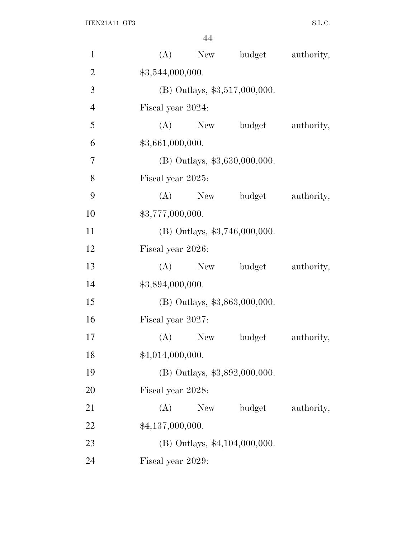| $\mathbf{1}$   | (A)               | New    | budget                          | authority, |
|----------------|-------------------|--------|---------------------------------|------------|
| $\overline{2}$ | \$3,544,000,000.  |        |                                 |            |
| 3              |                   |        | (B) Outlays, \$3,517,000,000.   |            |
| $\overline{4}$ | Fiscal year 2024: |        |                                 |            |
| 5              | (A)               | New \, | budget                          | authority, |
| 6              | \$3,661,000,000.  |        |                                 |            |
| 7              |                   |        | $(B)$ Outlays, \$3,630,000,000. |            |
| 8              | Fiscal year 2025: |        |                                 |            |
| 9              | (A)               | New    | budget                          | authority, |
| 10             | \$3,777,000,000.  |        |                                 |            |
| 11             |                   |        | (B) Outlays, \$3,746,000,000.   |            |
| 12             | Fiscal year 2026: |        |                                 |            |
| 13             | (A)               | New    | budget                          | authority, |
| 14             | \$3,894,000,000.  |        |                                 |            |
| 15             |                   |        | (B) Outlays, \$3,863,000,000.   |            |
| 16             | Fiscal year 2027: |        |                                 |            |
| 17             | (A)               | New    | budget                          | authority, |
| 18             | \$4,014,000,000.  |        |                                 |            |
| 19             |                   |        | (B) Outlays, \$3,892,000,000.   |            |
| 20             | Fiscal year 2028: |        |                                 |            |
| 21             | (A)               | New    | budget                          | authority, |
| 22             | \$4,137,000,000.  |        |                                 |            |
| 23             |                   |        | (B) Outlays, \$4,104,000,000.   |            |
| 24             | Fiscal year 2029: |        |                                 |            |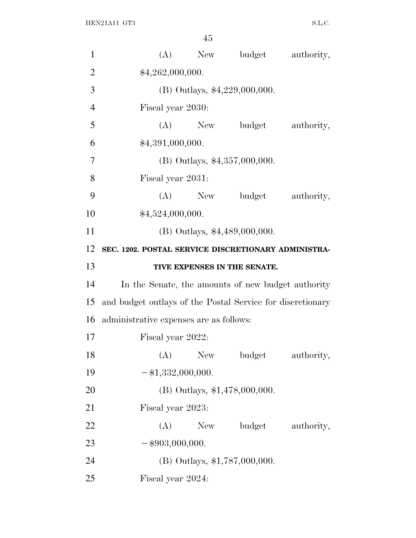| $\mathbf{1}$   |                                                            | $(A)$ New  | budget                          | authority, |
|----------------|------------------------------------------------------------|------------|---------------------------------|------------|
| $\overline{2}$ | \$4,262,000,000.                                           |            |                                 |            |
| 3              |                                                            |            | (B) Outlays, \$4,229,000,000.   |            |
| $\overline{4}$ | Fiscal year 2030:                                          |            |                                 |            |
| 5              | (A)                                                        | New        | budget                          | authority, |
| 6              | \$4,391,000,000.                                           |            |                                 |            |
| 7              |                                                            |            | $(B)$ Outlays, \$4,357,000,000. |            |
| 8              | Fiscal year 2031:                                          |            |                                 |            |
| 9              | (A)                                                        | New        | budget                          | authority, |
| 10             | \$4,524,000,000.                                           |            |                                 |            |
| 11             |                                                            |            | $(B)$ Outlays, \$4,489,000,000. |            |
| 12             | SEC. 1202. POSTAL SERVICE DISCRETIONARY ADMINISTRA-        |            |                                 |            |
| 13             |                                                            |            | TIVE EXPENSES IN THE SENATE.    |            |
| 14             | In the Senate, the amounts of new budget authority         |            |                                 |            |
| 15             | and budget outlays of the Postal Service for discretionary |            |                                 |            |
| 16             | administrative expenses are as follows:                    |            |                                 |            |
| 17             | Fiscal year 2022:                                          |            |                                 |            |
| 18             | (A)                                                        | <b>New</b> | budget                          | authority, |
| 19             | $-$ \$1,332,000,000.                                       |            |                                 |            |
| 20             |                                                            |            | (B) Outlays, \$1,478,000,000.   |            |
| 21             | Fiscal year 2023:                                          |            |                                 |            |
| 22             | (A)                                                        | New        | budget                          | authority, |
| 23             | $-$ \$903,000,000.                                         |            |                                 |            |
| 24             |                                                            |            | (B) Outlays, \$1,787,000,000.   |            |
| 25             | Fiscal year 2024:                                          |            |                                 |            |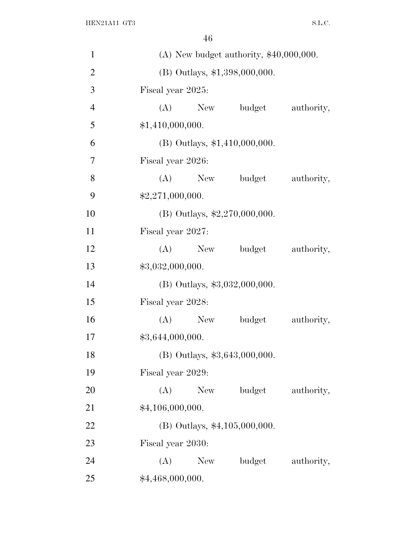| $\mathbf{1}$   | (A) New budget authority, $$40,000,000$ . |
|----------------|-------------------------------------------|
| $\overline{2}$ | (B) Outlays, \$1,398,000,000.             |
| 3              | Fiscal year 2025:                         |
| $\overline{4}$ | (A)<br>budget<br>authority,<br>New        |
| 5              | \$1,410,000,000.                          |
| 6              | $(B)$ Outlays, \$1,410,000,000.           |
| 7              | Fiscal year 2026:                         |
| 8              | (A)<br>New<br>budget<br>authority,        |
| 9              | \$2,271,000,000.                          |
| 10             | (B) Outlays, \$2,270,000,000.             |
| 11             | Fiscal year 2027:                         |
| 12             | (A)<br>budget<br>authority,<br>New        |
| 13             | \$3,032,000,000.                          |
| 14             | $(B)$ Outlays, \$3,032,000,000.           |
| 15             | Fiscal year 2028:                         |
| 16             | (A)<br>budget<br>authority,<br>New        |
| 17             | \$3,644,000,000.                          |
| 18             | (B) Outlays, $$3,643,000,000$ .           |
| 19             | Fiscal year 2029:                         |
| 20             | (A)<br>budget<br>authority,<br>New        |
| 21             | \$4,106,000,000.                          |
| 22             | (B) Outlays, \$4,105,000,000.             |
| 23             | Fiscal year 2030:                         |
| 24             | (A)<br>budget<br>authority,<br>New        |
| 25             | \$4,468,000,000.                          |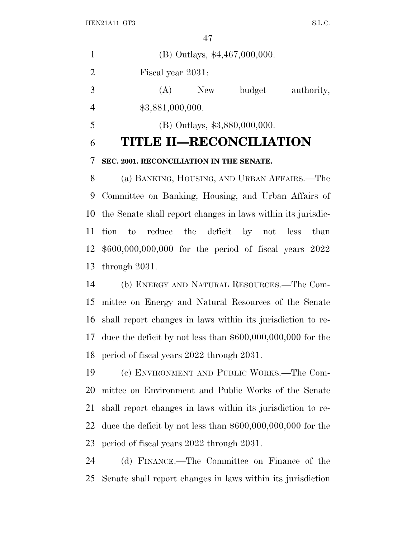| 1              |                   |     | (B) Outlays, \$4,467,000,000. |            |
|----------------|-------------------|-----|-------------------------------|------------|
| $\overline{2}$ | Fiscal year 2031: |     |                               |            |
| 3              | (A)               | New | budget                        | authority, |
| $\overline{4}$ | \$3,881,000,000.  |     |                               |            |
| 5              |                   |     | (B) Outlays, \$3,880,000,000. |            |

## **TITLE II—RECONCILIATION**

### **SEC. 2001. RECONCILIATION IN THE SENATE.**

 (a) BANKING, HOUSING, AND URBAN AFFAIRS.—The Committee on Banking, Housing, and Urban Affairs of the Senate shall report changes in laws within its jurisdic- tion to reduce the deficit by not less than \$600,000,000,000 for the period of fiscal years 2022 through 2031.

 (b) ENERGY AND NATURAL RESOURCES.—The Com- mittee on Energy and Natural Resources of the Senate shall report changes in laws within its jurisdiction to re- duce the deficit by not less than \$600,000,000,000 for the period of fiscal years 2022 through 2031.

 (c) ENVIRONMENT AND PUBLIC WORKS.—The Com- mittee on Environment and Public Works of the Senate shall report changes in laws within its jurisdiction to re- duce the deficit by not less than \$600,000,000,000 for the period of fiscal years 2022 through 2031.

 (d) FINANCE.—The Committee on Finance of the Senate shall report changes in laws within its jurisdiction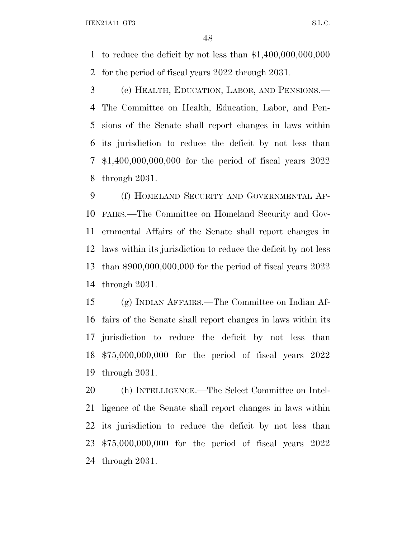to reduce the deficit by not less than \$1,400,000,000,000 for the period of fiscal years 2022 through 2031.

 (e) HEALTH, EDUCATION, LABOR, AND PENSIONS.— The Committee on Health, Education, Labor, and Pen- sions of the Senate shall report changes in laws within its jurisdiction to reduce the deficit by not less than \$1,400,000,000,000 for the period of fiscal years 2022 through 2031.

 (f) HOMELAND SECURITY AND GOVERNMENTAL AF- FAIRS.—The Committee on Homeland Security and Gov- ernmental Affairs of the Senate shall report changes in laws within its jurisdiction to reduce the deficit by not less than \$900,000,000,000 for the period of fiscal years 2022 through 2031.

 (g) INDIAN AFFAIRS.—The Committee on Indian Af- fairs of the Senate shall report changes in laws within its jurisdiction to reduce the deficit by not less than \$75,000,000,000 for the period of fiscal years 2022 through 2031.

 (h) INTELLIGENCE.—The Select Committee on Intel- ligence of the Senate shall report changes in laws within its jurisdiction to reduce the deficit by not less than \$75,000,000,000 for the period of fiscal years 2022 through 2031.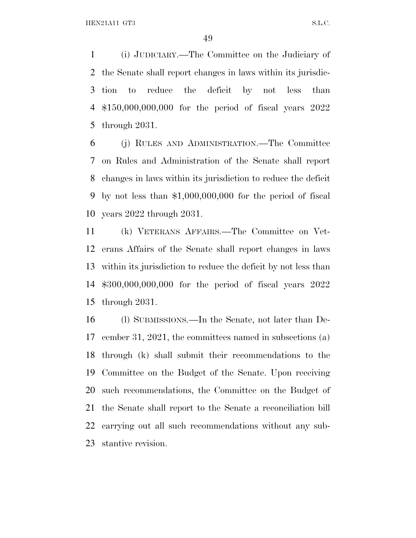(i) JUDICIARY.—The Committee on the Judiciary of the Senate shall report changes in laws within its jurisdic- tion to reduce the deficit by not less than \$150,000,000,000 for the period of fiscal years 2022 through 2031.

 (j) RULES AND ADMINISTRATION.—The Committee on Rules and Administration of the Senate shall report changes in laws within its jurisdiction to reduce the deficit by not less than \$1,000,000,000 for the period of fiscal years 2022 through 2031.

 (k) VETERANS AFFAIRS.—The Committee on Vet- erans Affairs of the Senate shall report changes in laws within its jurisdiction to reduce the deficit by not less than \$300,000,000,000 for the period of fiscal years 2022 through 2031.

 (l) SUBMISSIONS.—In the Senate, not later than De- cember 31, 2021, the committees named in subsections (a) through (k) shall submit their recommendations to the Committee on the Budget of the Senate. Upon receiving such recommendations, the Committee on the Budget of the Senate shall report to the Senate a reconciliation bill carrying out all such recommendations without any sub-stantive revision.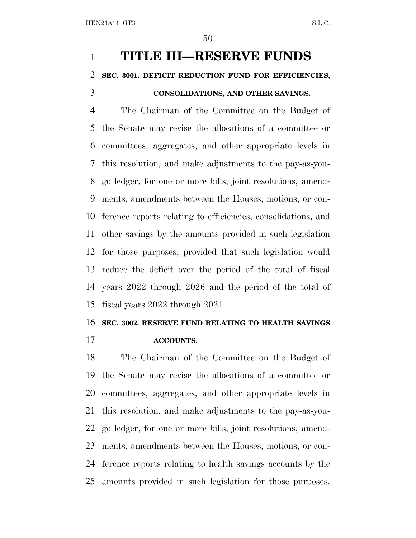## **TITLE III—RESERVE FUNDS SEC. 3001. DEFICIT REDUCTION FUND FOR EFFICIENCIES, CONSOLIDATIONS, AND OTHER SAVINGS.**

 The Chairman of the Committee on the Budget of the Senate may revise the allocations of a committee or committees, aggregates, and other appropriate levels in this resolution, and make adjustments to the pay-as-you- go ledger, for one or more bills, joint resolutions, amend- ments, amendments between the Houses, motions, or con- ference reports relating to efficiencies, consolidations, and other savings by the amounts provided in such legislation for those purposes, provided that such legislation would reduce the deficit over the period of the total of fiscal years 2022 through 2026 and the period of the total of fiscal years 2022 through 2031.

### **SEC. 3002. RESERVE FUND RELATING TO HEALTH SAVINGS ACCOUNTS.**

 The Chairman of the Committee on the Budget of the Senate may revise the allocations of a committee or committees, aggregates, and other appropriate levels in this resolution, and make adjustments to the pay-as-you- go ledger, for one or more bills, joint resolutions, amend- ments, amendments between the Houses, motions, or con- ference reports relating to health savings accounts by the amounts provided in such legislation for those purposes.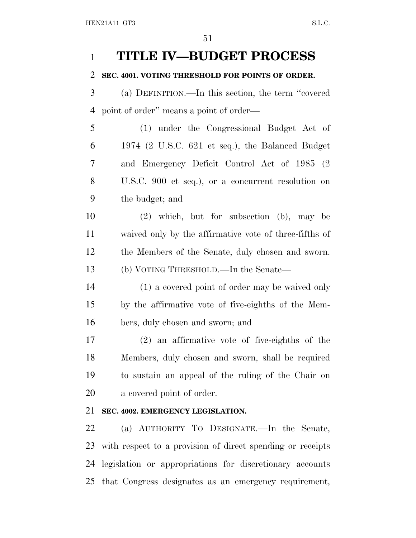### **TITLE IV—BUDGET PROCESS**

### **SEC. 4001. VOTING THRESHOLD FOR POINTS OF ORDER.**

 (a) DEFINITION.—In this section, the term ''covered point of order'' means a point of order—

 (1) under the Congressional Budget Act of 1974 (2 U.S.C. 621 et seq.), the Balanced Budget and Emergency Deficit Control Act of 1985 (2 U.S.C. 900 et seq.), or a concurrent resolution on the budget; and

 (2) which, but for subsection (b), may be waived only by the affirmative vote of three-fifths of the Members of the Senate, duly chosen and sworn. (b) VOTING THRESHOLD.—In the Senate—

 (1) a covered point of order may be waived only by the affirmative vote of five-eighths of the Mem-bers, duly chosen and sworn; and

 (2) an affirmative vote of five-eighths of the Members, duly chosen and sworn, shall be required to sustain an appeal of the ruling of the Chair on a covered point of order.

### **SEC. 4002. EMERGENCY LEGISLATION.**

 (a) AUTHORITY TO DESIGNATE.—In the Senate, with respect to a provision of direct spending or receipts legislation or appropriations for discretionary accounts that Congress designates as an emergency requirement,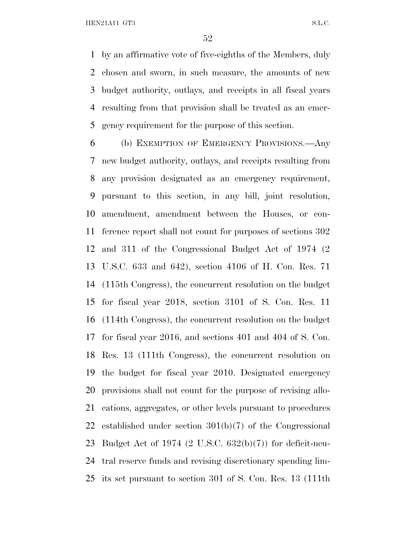HEN21A11 GT3 S.L.C.

 by an affirmative vote of five-eighths of the Members, duly chosen and sworn, in such measure, the amounts of new budget authority, outlays, and receipts in all fiscal years resulting from that provision shall be treated as an emer-gency requirement for the purpose of this section.

 (b) EXEMPTION OF EMERGENCY PROVISIONS.—Any new budget authority, outlays, and receipts resulting from any provision designated as an emergency requirement, pursuant to this section, in any bill, joint resolution, amendment, amendment between the Houses, or con- ference report shall not count for purposes of sections 302 and 311 of the Congressional Budget Act of 1974 (2 U.S.C. 633 and 642), section 4106 of H. Con. Res. 71 (115th Congress), the concurrent resolution on the budget for fiscal year 2018, section 3101 of S. Con. Res. 11 (114th Congress), the concurrent resolution on the budget for fiscal year 2016, and sections 401 and 404 of S. Con. Res. 13 (111th Congress), the concurrent resolution on the budget for fiscal year 2010. Designated emergency provisions shall not count for the purpose of revising allo- cations, aggregates, or other levels pursuant to procedures established under section 301(b)(7) of the Congressional Budget Act of 1974 (2 U.S.C. 632(b)(7)) for deficit-neu- tral reserve funds and revising discretionary spending lim-its set pursuant to section 301 of S. Con. Res. 13 (111th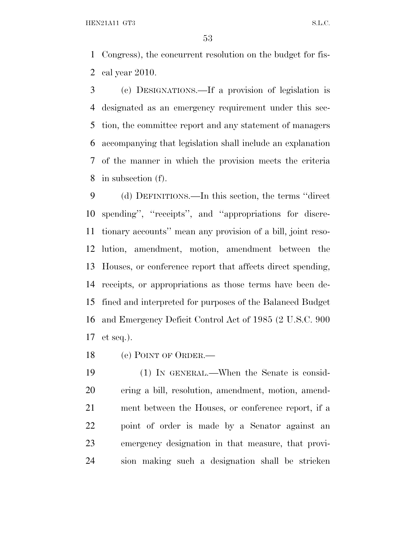Congress), the concurrent resolution on the budget for fis-cal year 2010.

 (c) DESIGNATIONS.—If a provision of legislation is designated as an emergency requirement under this sec- tion, the committee report and any statement of managers accompanying that legislation shall include an explanation of the manner in which the provision meets the criteria in subsection (f).

 (d) DEFINITIONS.—In this section, the terms ''direct spending'', ''receipts'', and ''appropriations for discre- tionary accounts'' mean any provision of a bill, joint reso- lution, amendment, motion, amendment between the Houses, or conference report that affects direct spending, receipts, or appropriations as those terms have been de- fined and interpreted for purposes of the Balanced Budget and Emergency Deficit Control Act of 1985 (2 U.S.C. 900 et seq.).

(e) POINT OF ORDER.—

 (1) IN GENERAL.—When the Senate is consid- ering a bill, resolution, amendment, motion, amend- ment between the Houses, or conference report, if a point of order is made by a Senator against an emergency designation in that measure, that provi-sion making such a designation shall be stricken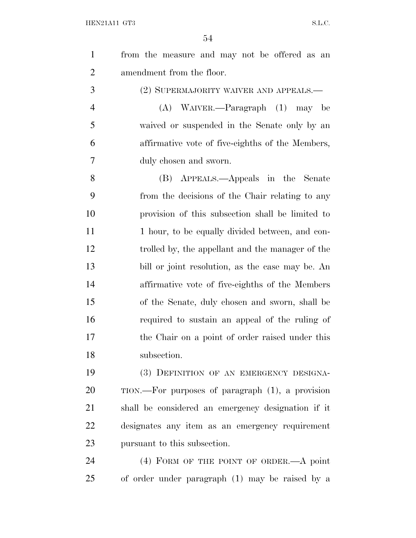$\sim 4$ 

|                | 54                                                 |
|----------------|----------------------------------------------------|
| $\mathbf{1}$   | from the measure and may not be offered as an      |
| $\overline{2}$ | amendment from the floor.                          |
| 3              | (2) SUPERMAJORITY WAIVER AND APPEALS.—             |
| $\overline{4}$ | (A) WAIVER.—Paragraph (1) may be                   |
| 5              | waived or suspended in the Senate only by an       |
| 6              | affirmative vote of five-eighths of the Members,   |
| 7              | duly chosen and sworn.                             |
| 8              | (B) APPEALS.—Appeals in the Senate                 |
| 9              | from the decisions of the Chair relating to any    |
| 10             | provision of this subsection shall be limited to   |
| 11             | 1 hour, to be equally divided between, and con-    |
| 12             | trolled by, the appellant and the manager of the   |
| 13             | bill or joint resolution, as the case may be. An   |
| 14             | affirmative vote of five-eighths of the Members    |
| 15             | of the Senate, duly chosen and sworn, shall be     |
| 16             | required to sustain an appeal of the ruling of     |
| 17             | the Chair on a point of order raised under this    |
| 18             | subsection.                                        |
| 19             | (3) DEFINITION OF AN EMERGENCY DESIGNA-            |
| 20             | TION.—For purposes of paragraph (1), a provision   |
| 21             | shall be considered an emergency designation if it |

 designates any item as an emergency requirement pursuant to this subsection.

 (4) FORM OF THE POINT OF ORDER.—A point of order under paragraph (1) may be raised by a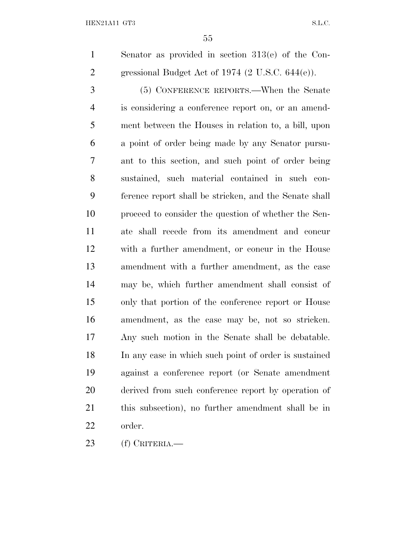Senator as provided in section 313(e) of the Con-gressional Budget Act of 1974 (2 U.S.C. 644(e)).

 (5) CONFERENCE REPORTS.—When the Senate is considering a conference report on, or an amend- ment between the Houses in relation to, a bill, upon a point of order being made by any Senator pursu- ant to this section, and such point of order being sustained, such material contained in such con- ference report shall be stricken, and the Senate shall proceed to consider the question of whether the Sen- ate shall recede from its amendment and concur with a further amendment, or concur in the House amendment with a further amendment, as the case may be, which further amendment shall consist of only that portion of the conference report or House amendment, as the case may be, not so stricken. Any such motion in the Senate shall be debatable. In any case in which such point of order is sustained against a conference report (or Senate amendment derived from such conference report by operation of this subsection), no further amendment shall be in order.

(f) CRITERIA.—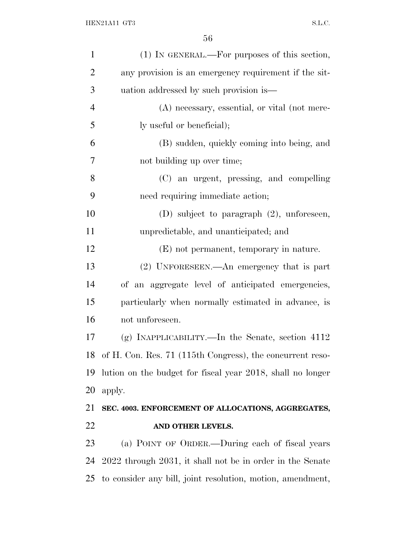| $\mathbf{1}$   | (1) IN GENERAL.—For purposes of this section,                |
|----------------|--------------------------------------------------------------|
| $\overline{2}$ | any provision is an emergency requirement if the sit-        |
| 3              | uation addressed by such provision is—                       |
| $\overline{4}$ | (A) necessary, essential, or vital (not mere-                |
| 5              | ly useful or beneficial);                                    |
| 6              | (B) sudden, quickly coming into being, and                   |
| 7              | not building up over time;                                   |
| 8              | (C) an urgent, pressing, and compelling                      |
| 9              | need requiring immediate action;                             |
| 10             | (D) subject to paragraph $(2)$ , unforeseen,                 |
| 11             | unpredictable, and unanticipated; and                        |
| 12             | (E) not permanent, temporary in nature.                      |
| 13             | (2) UNFORESEEN.—An emergency that is part                    |
| 14             | of an aggregate level of anticipated emergencies,            |
| 15             | particularly when normally estimated in advance, is          |
| 16             | not unforeseen.                                              |
| 17             | (g) INAPPLICABILITY.—In the Senate, section $4112$           |
|                | 18 of H. Con. Res. 71 (115th Congress), the concurrent reso- |
| 19             | lution on the budget for fiscal year 2018, shall no longer   |
| 20             | apply.                                                       |
| 21             | SEC. 4003. ENFORCEMENT OF ALLOCATIONS, AGGREGATES,           |
| 22             | AND OTHER LEVELS.                                            |
| 23             | (a) POINT OF ORDER.—During each of fiscal years              |
| 24             | 2022 through 2031, it shall not be in order in the Senate    |
| 25             | to consider any bill, joint resolution, motion, amendment,   |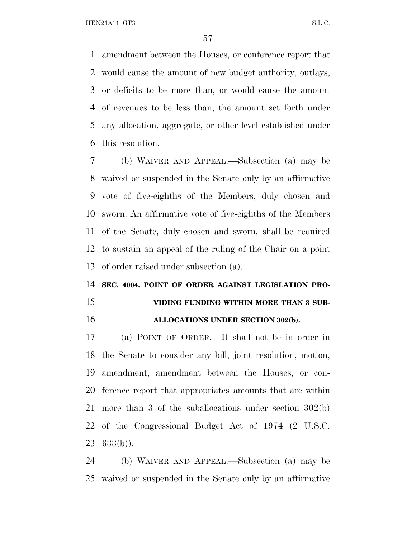HEN21A11 GT3 S.L.C.

 amendment between the Houses, or conference report that would cause the amount of new budget authority, outlays, or deficits to be more than, or would cause the amount of revenues to be less than, the amount set forth under any allocation, aggregate, or other level established under this resolution.

 (b) WAIVER AND APPEAL.—Subsection (a) may be waived or suspended in the Senate only by an affirmative vote of five-eighths of the Members, duly chosen and sworn. An affirmative vote of five-eighths of the Members of the Senate, duly chosen and sworn, shall be required to sustain an appeal of the ruling of the Chair on a point of order raised under subsection (a).

## **SEC. 4004. POINT OF ORDER AGAINST LEGISLATION PRO- VIDING FUNDING WITHIN MORE THAN 3 SUB-ALLOCATIONS UNDER SECTION 302(b).**

 (a) POINT OF ORDER.—It shall not be in order in the Senate to consider any bill, joint resolution, motion, amendment, amendment between the Houses, or con- ference report that appropriates amounts that are within more than 3 of the suballocations under section 302(b) of the Congressional Budget Act of 1974 (2 U.S.C.  $23 \quad 633(b)$ ).

 (b) WAIVER AND APPEAL.—Subsection (a) may be waived or suspended in the Senate only by an affirmative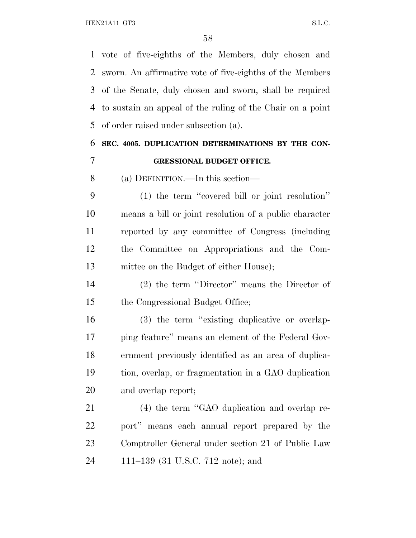HEN21A11 GT3 S.L.C.

 vote of five-eighths of the Members, duly chosen and sworn. An affirmative vote of five-eighths of the Members of the Senate, duly chosen and sworn, shall be required to sustain an appeal of the ruling of the Chair on a point of order raised under subsection (a).

## **SEC. 4005. DUPLICATION DETERMINATIONS BY THE CON-GRESSIONAL BUDGET OFFICE.**

(a) DEFINITION.—In this section—

 (1) the term ''covered bill or joint resolution'' means a bill or joint resolution of a public character reported by any committee of Congress (including the Committee on Appropriations and the Com-mittee on the Budget of either House);

 (2) the term ''Director'' means the Director of the Congressional Budget Office;

 (3) the term ''existing duplicative or overlap- ping feature'' means an element of the Federal Gov- ernment previously identified as an area of duplica- tion, overlap, or fragmentation in a GAO duplication and overlap report;

 (4) the term ''GAO duplication and overlap re- port'' means each annual report prepared by the Comptroller General under section 21 of Public Law 111–139 (31 U.S.C. 712 note); and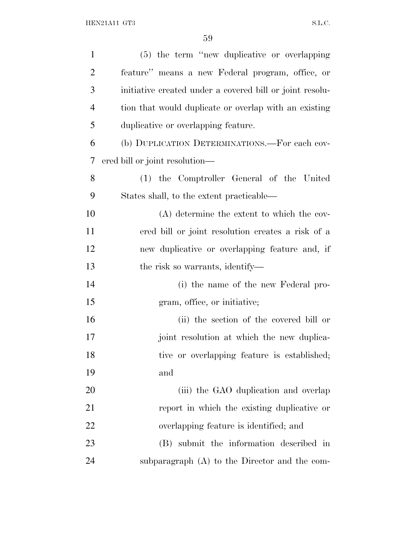| $\mathbf{1}$   | (5) the term "new duplicative or overlapping             |
|----------------|----------------------------------------------------------|
| $\overline{2}$ | feature" means a new Federal program, office, or         |
| 3              | initiative created under a covered bill or joint resolu- |
| $\overline{4}$ | tion that would duplicate or overlap with an existing    |
| 5              | duplicative or overlapping feature.                      |
| 6              | (b) DUPLICATION DETERMINATIONS.—For each cov-            |
| 7              | ered bill or joint resolution—                           |
| 8              | (1) the Comptroller General of the United                |
| 9              | States shall, to the extent practicable—                 |
| 10             | (A) determine the extent to which the cov-               |
| 11             | ered bill or joint resolution creates a risk of a        |
| 12             | new duplicative or overlapping feature and, if           |
| 13             | the risk so warrants, identify—                          |
| 14             | (i) the name of the new Federal pro-                     |
| 15             | gram, office, or initiative;                             |
| 16             | (ii) the section of the covered bill or                  |
| 17             | joint resolution at which the new duplica-               |
| 18             | tive or overlapping feature is established;              |
| 19             | and                                                      |
| 20             | (iii) the GAO duplication and overlap                    |
| 21             | report in which the existing duplicative or              |
| 22             | overlapping feature is identified; and                   |
| 23             | (B) submit the information described in                  |
| 24             | subparagraph (A) to the Director and the com-            |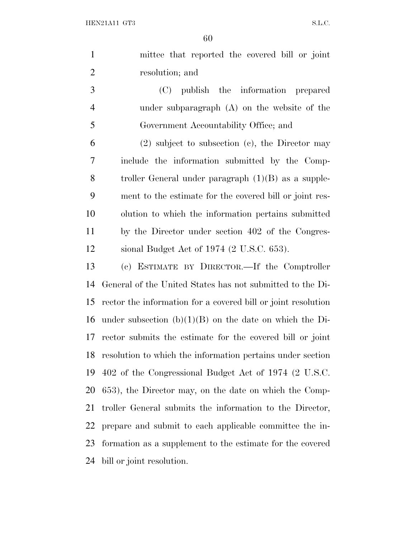|                | 60                                                            |
|----------------|---------------------------------------------------------------|
| $\mathbf{1}$   | mittee that reported the covered bill or joint                |
| $\overline{2}$ | resolution; and                                               |
| 3              | $(C)$ publish the information<br>prepared                     |
| $\overline{4}$ | under subparagraph $(A)$ on the website of the                |
| 5              | Government Accountability Office; and                         |
| 6              | $(2)$ subject to subsection $(e)$ , the Director may          |
| $\overline{7}$ | include the information submitted by the Comp-                |
| 8              | troller General under paragraph $(1)(B)$ as a supple-         |
| 9              | ment to the estimate for the covered bill or joint res-       |
| 10             | olution to which the information pertains submitted           |
| 11             | by the Director under section 402 of the Congres-             |
| 12             | sional Budget Act of 1974 (2 U.S.C. 653).                     |
| 13             | (c) ESTIMATE BY DIRECTOR.—If the Comptroller                  |
| 14             | General of the United States has not submitted to the Di-     |
| 15             | rector the information for a covered bill or joint resolution |
| 16             | under subsection $(b)(1)(B)$ on the date on which the Di-     |
| 17             | rector submits the estimate for the covered bill or joint     |
| 18             | resolution to which the information pertains under section    |

402 of the Congressional Budget Act of 1974 (2 U.S.C.

 653), the Director may, on the date on which the Comp- troller General submits the information to the Director, prepare and submit to each applicable committee the in-formation as a supplement to the estimate for the covered

bill or joint resolution.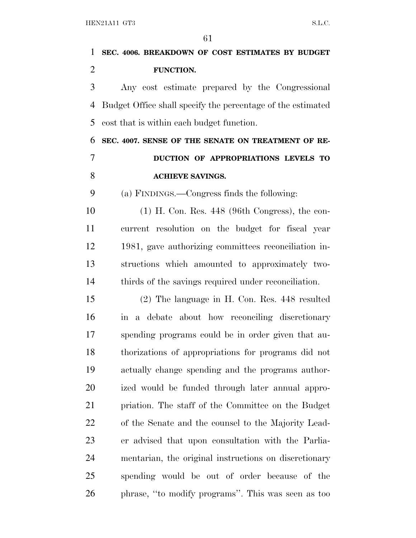| 1              | SEC. 4006. BREAKDOWN OF COST ESTIMATES BY BUDGET            |
|----------------|-------------------------------------------------------------|
| $\overline{2}$ | FUNCTION.                                                   |
| 3              | Any cost estimate prepared by the Congressional             |
| 4              | Budget Office shall specify the percentage of the estimated |
| 5              | cost that is within each budget function.                   |
| 6              | SEC. 4007. SENSE OF THE SENATE ON TREATMENT OF RE-          |
| 7              | DUCTION OF APPROPRIATIONS LEVELS TO                         |
| 8              | <b>ACHIEVE SAVINGS.</b>                                     |
| 9              | (a) FINDINGS.—Congress finds the following:                 |
| 10             | $(1)$ H. Con. Res. 448 (96th Congress), the con-            |
| 11             | current resolution on the budget for fiscal year            |
| 12             | 1981, gave authorizing committees reconciliation in-        |
| 13             | structions which amounted to approximately two-             |
| 14             | thirds of the savings required under reconciliation.        |
| 15             | $(2)$ The language in H. Con. Res. 448 resulted             |
| 16             | in a debate about how reconciling discretionary             |
| 17             | spending programs could be in order given that au-          |
| 18             | thorizations of appropriations for programs did not         |
| 19             | actually change spending and the programs author-           |
| 20             | ized would be funded through later annual appro-            |
| 21             | priation. The staff of the Committee on the Budget          |
| 22             | of the Senate and the counsel to the Majority Lead-         |
| 23             | er advised that upon consultation with the Parlia-          |
| 24             | mentarian, the original instructions on discretionary       |
| 25             | spending would be out of order because of the               |
| 26             | phrase, "to modify programs". This was seen as too          |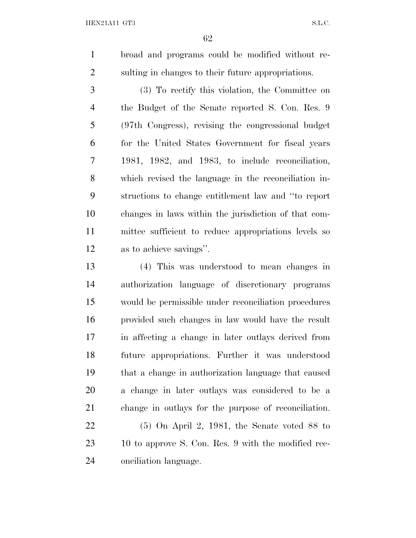broad and programs could be modified without re-sulting in changes to their future appropriations.

 (3) To rectify this violation, the Committee on the Budget of the Senate reported S. Con. Res. 9 (97th Congress), revising the congressional budget for the United States Government for fiscal years 1981, 1982, and 1983, to include reconciliation, which revised the language in the reconciliation in- structions to change entitlement law and ''to report changes in laws within the jurisdiction of that com- mittee sufficient to reduce appropriations levels so as to achieve savings''.

 (4) This was understood to mean changes in authorization language of discretionary programs would be permissible under reconciliation procedures provided such changes in law would have the result in affecting a change in later outlays derived from future appropriations. Further it was understood that a change in authorization language that caused a change in later outlays was considered to be a change in outlays for the purpose of reconciliation.

 (5) On April 2, 1981, the Senate voted 88 to 10 to approve S. Con. Res. 9 with the modified rec-onciliation language.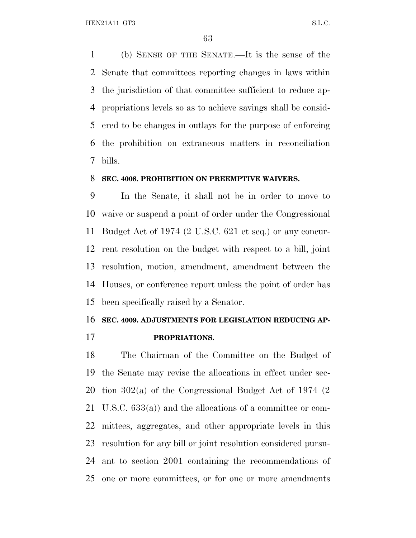HEN21A11 GT3 S.L.C.

 (b) SENSE OF THE SENATE.—It is the sense of the Senate that committees reporting changes in laws within the jurisdiction of that committee sufficient to reduce ap- propriations levels so as to achieve savings shall be consid- ered to be changes in outlays for the purpose of enforcing the prohibition on extraneous matters in reconciliation bills.

### **SEC. 4008. PROHIBITION ON PREEMPTIVE WAIVERS.**

 In the Senate, it shall not be in order to move to waive or suspend a point of order under the Congressional Budget Act of 1974 (2 U.S.C. 621 et seq.) or any concur- rent resolution on the budget with respect to a bill, joint resolution, motion, amendment, amendment between the Houses, or conference report unless the point of order has been specifically raised by a Senator.

### **SEC. 4009. ADJUSTMENTS FOR LEGISLATION REDUCING AP-**

**PROPRIATIONS.**

 The Chairman of the Committee on the Budget of the Senate may revise the allocations in effect under sec- tion 302(a) of the Congressional Budget Act of 1974 (2 U.S.C. 633(a)) and the allocations of a committee or com- mittees, aggregates, and other appropriate levels in this resolution for any bill or joint resolution considered pursu- ant to section 2001 containing the recommendations of one or more committees, or for one or more amendments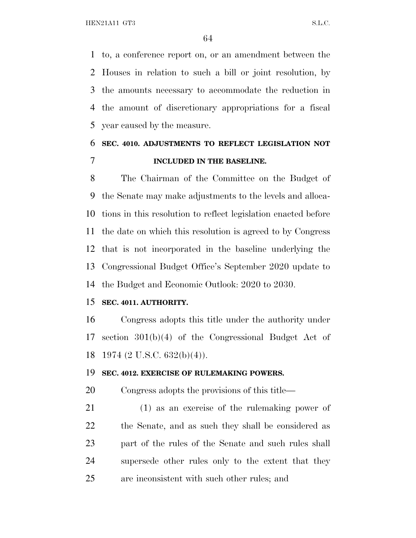to, a conference report on, or an amendment between the Houses in relation to such a bill or joint resolution, by the amounts necessary to accommodate the reduction in the amount of discretionary appropriations for a fiscal year caused by the measure.

### **SEC. 4010. ADJUSTMENTS TO REFLECT LEGISLATION NOT INCLUDED IN THE BASELINE.**

 The Chairman of the Committee on the Budget of the Senate may make adjustments to the levels and alloca- tions in this resolution to reflect legislation enacted before the date on which this resolution is agreed to by Congress that is not incorporated in the baseline underlying the Congressional Budget Office's September 2020 update to the Budget and Economic Outlook: 2020 to 2030.

### **SEC. 4011. AUTHORITY.**

 Congress adopts this title under the authority under section 301(b)(4) of the Congressional Budget Act of 1974 (2 U.S.C. 632(b)(4)).

### **SEC. 4012. EXERCISE OF RULEMAKING POWERS.**

Congress adopts the provisions of this title—

 (1) as an exercise of the rulemaking power of the Senate, and as such they shall be considered as part of the rules of the Senate and such rules shall supersede other rules only to the extent that they are inconsistent with such other rules; and